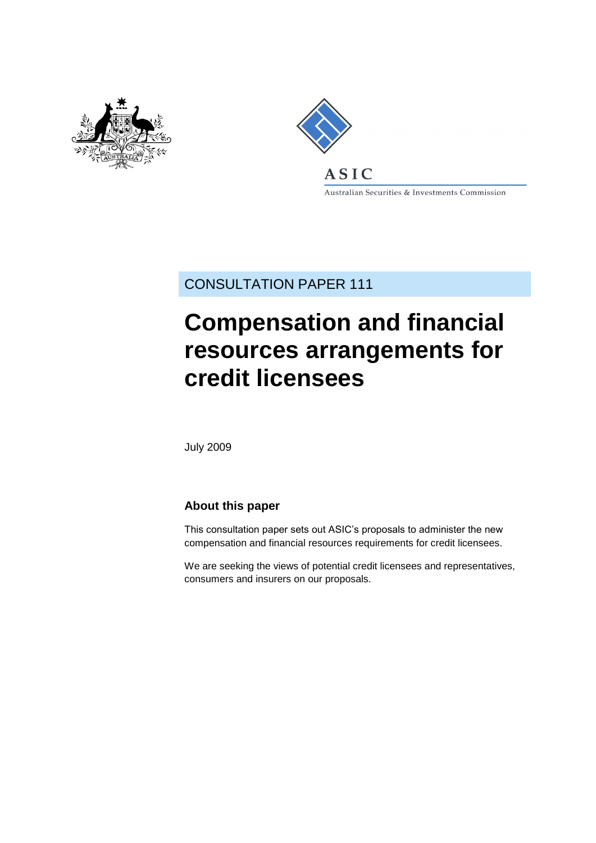



Australian Securities & Investments Commission

CONSULTATION PAPER 111

# **Compensation and financial resources arrangements for credit licensees**

July 2009

## **About this paper**

This consultation paper sets out ASIC's proposals to administer the new compensation and financial resources requirements for credit licensees.

We are seeking the views of potential credit licensees and representatives, consumers and insurers on our proposals.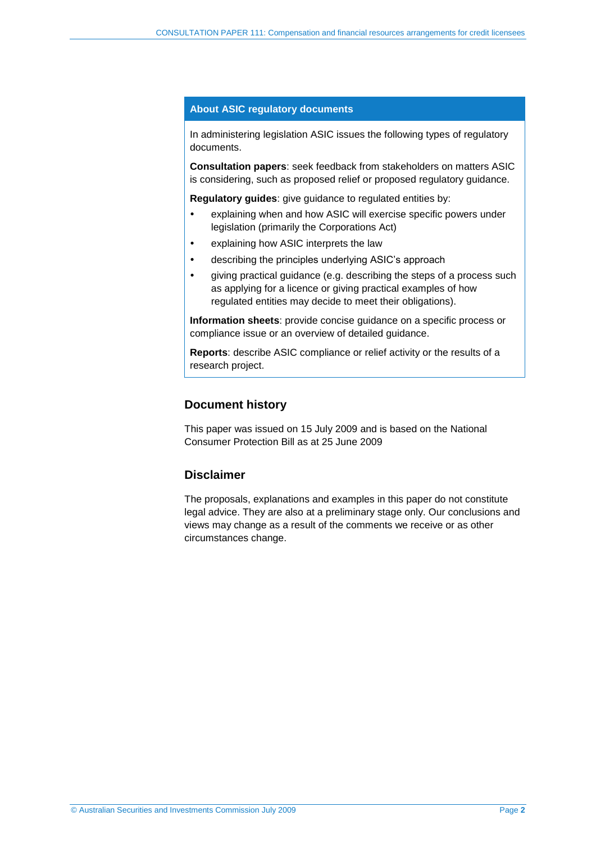#### **About ASIC regulatory documents**

In administering legislation ASIC issues the following types of regulatory documents.

**Consultation papers**: seek feedback from stakeholders on matters ASIC is considering, such as proposed relief or proposed regulatory guidance.

**Regulatory guides**: give guidance to regulated entities by:

- explaining when and how ASIC will exercise specific powers under legislation (primarily the Corporations Act)
- explaining how ASIC interprets the law
- describing the principles underlying ASIC's approach
- giving practical guidance (e.g. describing the steps of a process such as applying for a licence or giving practical examples of how regulated entities may decide to meet their obligations).

**Information sheets**: provide concise guidance on a specific process or compliance issue or an overview of detailed guidance.

**Reports**: describe ASIC compliance or relief activity or the results of a research project.

#### **Document history**

This paper was issued on 15 July 2009 and is based on the National Consumer Protection Bill as at 25 June 2009

#### **Disclaimer**

The proposals, explanations and examples in this paper do not constitute legal advice. They are also at a preliminary stage only. Our conclusions and views may change as a result of the comments we receive or as other circumstances change.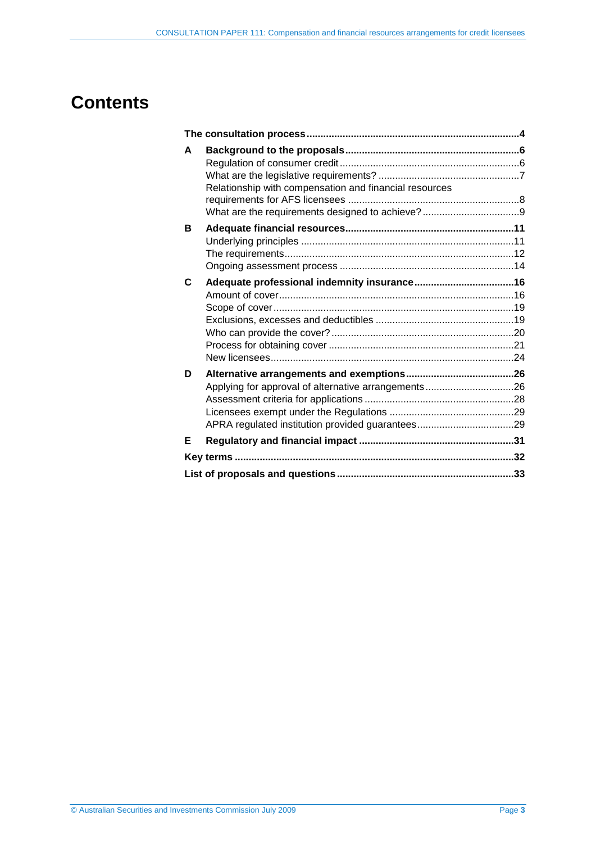## **Contents**

| A | Relationship with compensation and financial resources |  |
|---|--------------------------------------------------------|--|
| в |                                                        |  |
| C |                                                        |  |
| D |                                                        |  |
| Е |                                                        |  |
|   |                                                        |  |
|   |                                                        |  |
|   |                                                        |  |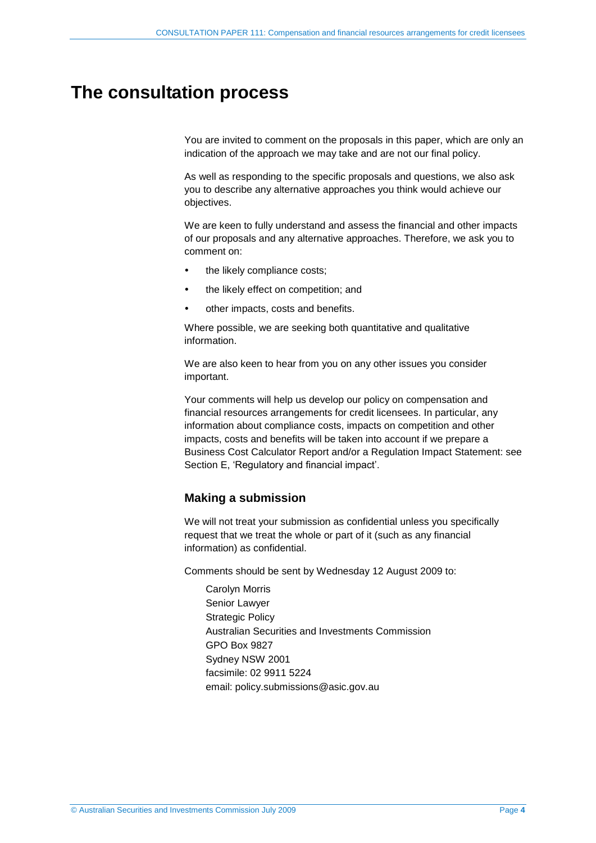## <span id="page-3-0"></span>**The consultation process**

You are invited to comment on the proposals in this paper, which are only an indication of the approach we may take and are not our final policy.

As well as responding to the specific proposals and questions, we also ask you to describe any alternative approaches you think would achieve our objectives.

We are keen to fully understand and assess the financial and other impacts of our proposals and any alternative approaches. Therefore, we ask you to comment on:

- the likely compliance costs;
- the likely effect on competition; and
- other impacts, costs and benefits.

Where possible, we are seeking both quantitative and qualitative information.

We are also keen to hear from you on any other issues you consider important.

Your comments will help us develop our policy on compensation and financial resources arrangements for credit licensees. In particular, any information about compliance costs, impacts on competition and other impacts, costs and benefits will be taken into account if we prepare a Business Cost Calculator Report and/or a Regulation Impact Statement: see Section [E,](#page-30-0) 'Regulatory and financial impact'.

## **Making a submission**

We will not treat your submission as confidential unless you specifically request that we treat the whole or part of it (such as any financial information) as confidential.

Comments should be sent by Wednesday 12 August 2009 to:

Carolyn Morris Senior Lawyer Strategic Policy Australian Securities and Investments Commission GPO Box 9827 Sydney NSW 2001 facsimile: 02 9911 5224 email: policy.submissions@asic.gov.au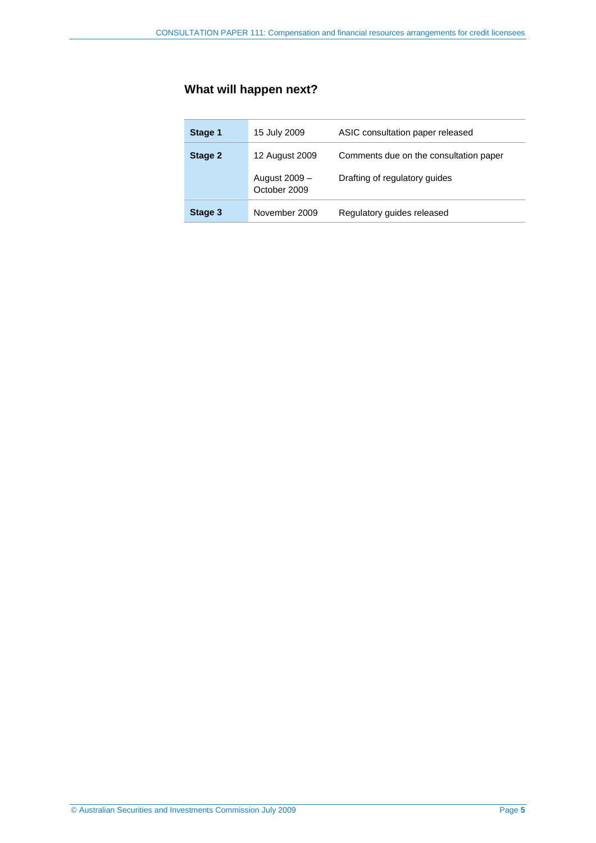## **What will happen next?**

| Stage 1 | 15 July 2009                  | ASIC consultation paper released       |
|---------|-------------------------------|----------------------------------------|
| Stage 2 | 12 August 2009                | Comments due on the consultation paper |
|         | August 2009 –<br>October 2009 | Drafting of regulatory guides          |
| Stage 3 | November 2009                 | Regulatory guides released             |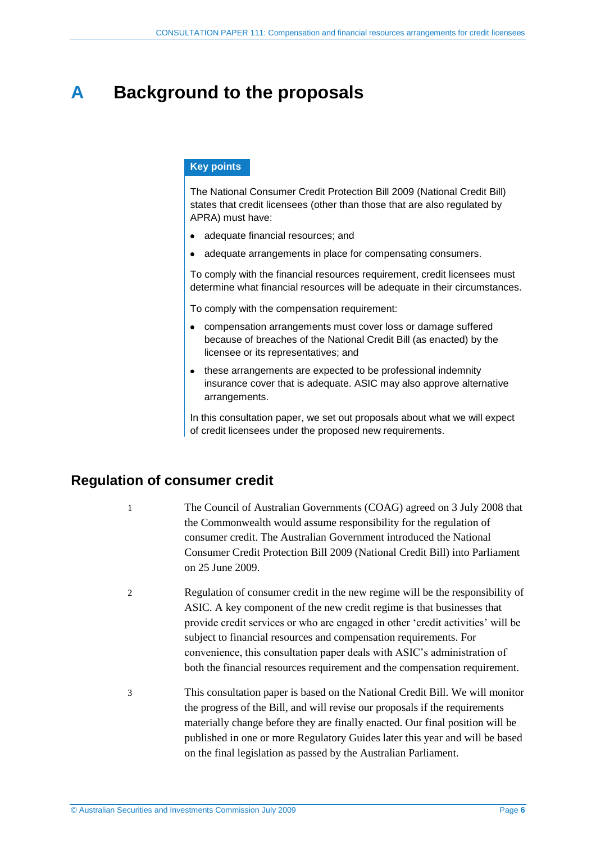## <span id="page-5-0"></span>**A Background to the proposals**

### **Key points**

The National Consumer Credit Protection Bill 2009 (National Credit Bill) states that credit licensees (other than those that are also regulated by APRA) must have:

- adequate financial resources; and
- adequate arrangements in place for compensating consumers.

To comply with the financial resources requirement, credit licensees must determine what financial resources will be adequate in their circumstances.

To comply with the compensation requirement:

- compensation arrangements must cover loss or damage suffered because of breaches of the National Credit Bill (as enacted) by the licensee or its representatives; and
- these arrangements are expected to be professional indemnity insurance cover that is adequate. ASIC may also approve alternative arrangements.

In this consultation paper, we set out proposals about what we will expect of credit licensees under the proposed new requirements.

## <span id="page-5-1"></span>**Regulation of consumer credit**

- 1 The Council of Australian Governments (COAG) agreed on 3 July 2008 that the Commonwealth would assume responsibility for the regulation of consumer credit. The Australian Government introduced the National Consumer Credit Protection Bill 2009 (National Credit Bill) into Parliament on 25 June 2009.
- 2 Regulation of consumer credit in the new regime will be the responsibility of ASIC. A key component of the new credit regime is that businesses that provide credit services or who are engaged in other 'credit activities' will be subject to financial resources and compensation requirements. For convenience, this consultation paper deals with ASIC's administration of both the financial resources requirement and the compensation requirement.
- 3 This consultation paper is based on the National Credit Bill. We will monitor the progress of the Bill, and will revise our proposals if the requirements materially change before they are finally enacted. Our final position will be published in one or more Regulatory Guides later this year and will be based on the final legislation as passed by the Australian Parliament.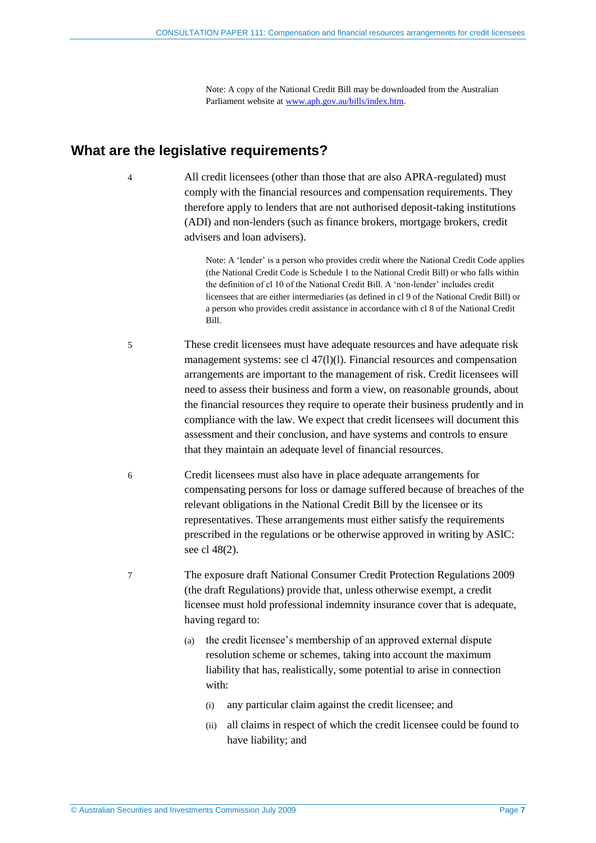Note: A copy of the National Credit Bill may be downloaded from the Australian Parliament website at [www.aph.gov.au/bills/index.htm.](http://www.aph.gov.au/bills/index.htm)

## <span id="page-6-0"></span>**What are the legislative requirements?**

4 All credit licensees (other than those that are also APRA-regulated) must comply with the financial resources and compensation requirements. They therefore apply to lenders that are not authorised deposit-taking institutions (ADI) and non-lenders (such as finance brokers, mortgage brokers, credit advisers and loan advisers).

> Note: A 'lender' is a person who provides credit where the National Credit Code applies (the National Credit Code is Schedule 1 to the National Credit Bill) or who falls within the definition of cl 10 of the National Credit Bill. A 'non-lender' includes credit licensees that are either intermediaries (as defined in cl 9 of the National Credit Bill) or a person who provides credit assistance in accordance with cl 8 of the National Credit Bill.

- 5 These credit licensees must have adequate resources and have adequate risk management systems: see cl 47(l)(l). Financial resources and compensation arrangements are important to the management of risk. Credit licensees will need to assess their business and form a view, on reasonable grounds, about the financial resources they require to operate their business prudently and in compliance with the law. We expect that credit licensees will document this assessment and their conclusion, and have systems and controls to ensure that they maintain an adequate level of financial resources.
- 6 Credit licensees must also have in place adequate arrangements for compensating persons for loss or damage suffered because of breaches of the relevant obligations in the National Credit Bill by the licensee or its representatives. These arrangements must either satisfy the requirements prescribed in the regulations or be otherwise approved in writing by ASIC: see cl 48(2).

7 The exposure draft National Consumer Credit Protection Regulations 2009 (the draft Regulations) provide that, unless otherwise exempt, a credit licensee must hold professional indemnity insurance cover that is adequate, having regard to:

- (a) the credit licensee's membership of an approved external dispute resolution scheme or schemes, taking into account the maximum liability that has, realistically, some potential to arise in connection with:
	- (i) any particular claim against the credit licensee; and
	- (ii) all claims in respect of which the credit licensee could be found to have liability; and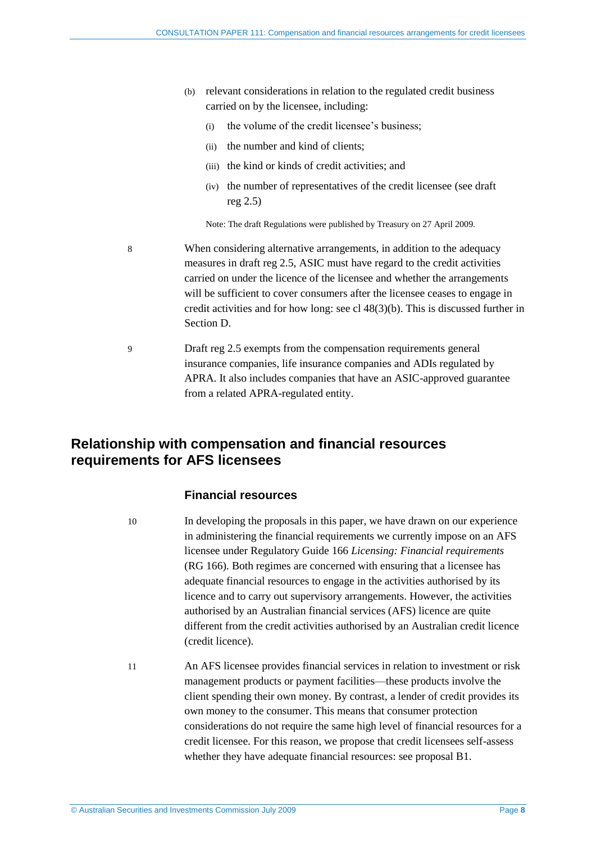- (b) relevant considerations in relation to the regulated credit business carried on by the licensee, including:
	- (i) the volume of the credit licensee's business;
	- (ii) the number and kind of clients;
	- (iii) the kind or kinds of credit activities; and
	- (iv) the number of representatives of the credit licensee (see draft reg 2.5)

Note: The draft Regulations were published by Treasury on 27 April 2009.

8 When considering alternative arrangements, in addition to the adequacy measures in draft reg 2.5, ASIC must have regard to the credit activities carried on under the licence of the licensee and whether the arrangements will be sufficient to cover consumers after the licensee ceases to engage in credit activities and for how long: see cl 48(3)(b). This is discussed further in Section [D.](#page-25-0)

9 Draft reg 2.5 exempts from the compensation requirements general insurance companies, life insurance companies and ADIs regulated by APRA. It also includes companies that have an ASIC-approved guarantee from a related APRA-regulated entity.

## <span id="page-7-0"></span>**Relationship with compensation and financial resources requirements for AFS licensees**

#### **Financial resources**

10 In developing the proposals in this paper, we have drawn on our experience in administering the financial requirements we currently impose on an AFS licensee under Regulatory Guide 166 *Licensing: Financial requirements* (RG 166)*.* Both regimes are concerned with ensuring that a licensee has adequate financial resources to engage in the activities authorised by its licence and to carry out supervisory arrangements. However, the activities authorised by an Australian financial services (AFS) licence are quite different from the credit activities authorised by an Australian credit licence (credit licence).

11 An AFS licensee provides financial services in relation to investment or risk management products or payment facilities—these products involve the client spending their own money. By contrast, a lender of credit provides its own money to the consumer. This means that consumer protection considerations do not require the same high level of financial resources for a credit licensee. For this reason, we propose that credit licensees self-assess whether they have adequate financial resources: see proposa[l B1.](#page-12-0)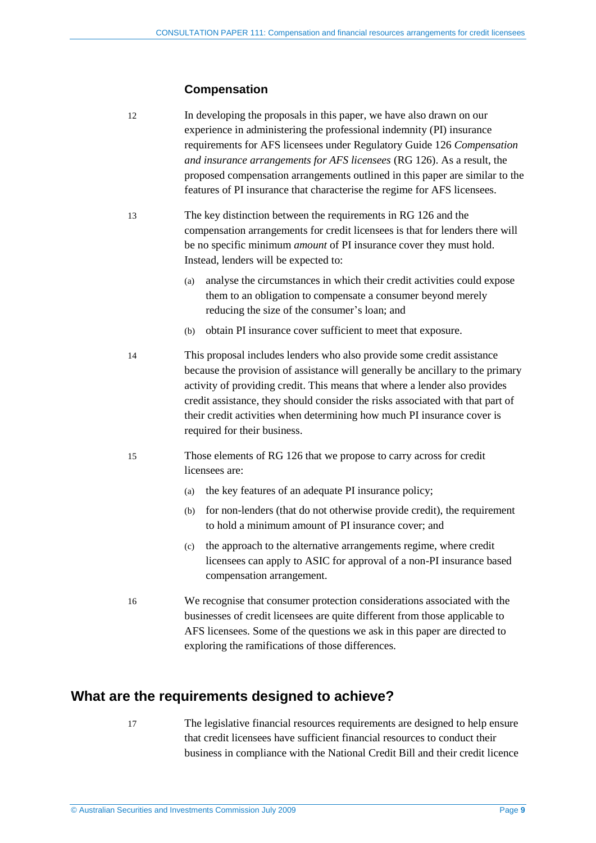### **Compensation**

- 12 In developing the proposals in this paper, we have also drawn on our experience in administering the professional indemnity (PI) insurance requirements for AFS licensees under Regulatory Guide 126 *Compensation and insurance arrangements for AFS licensees* (RG 126). As a result, the proposed compensation arrangements outlined in this paper are similar to the features of PI insurance that characterise the regime for AFS licensees.
- 13 The key distinction between the requirements in RG 126 and the compensation arrangements for credit licensees is that for lenders there will be no specific minimum *amount* of PI insurance cover they must hold. Instead, lenders will be expected to:
	- (a) analyse the circumstances in which their credit activities could expose them to an obligation to compensate a consumer beyond merely reducing the size of the consumer's loan; and
	- (b) obtain PI insurance cover sufficient to meet that exposure.
- 14 This proposal includes lenders who also provide some credit assistance because the provision of assistance will generally be ancillary to the primary activity of providing credit. This means that where a lender also provides credit assistance, they should consider the risks associated with that part of their credit activities when determining how much PI insurance cover is required for their business.
- 15 Those elements of RG 126 that we propose to carry across for credit licensees are:
	- (a) the key features of an adequate PI insurance policy;
	- (b) for non-lenders (that do not otherwise provide credit), the requirement to hold a minimum amount of PI insurance cover; and
	- (c) the approach to the alternative arrangements regime, where credit licensees can apply to ASIC for approval of a non-PI insurance based compensation arrangement.
- 16 We recognise that consumer protection considerations associated with the businesses of credit licensees are quite different from those applicable to AFS licensees. Some of the questions we ask in this paper are directed to exploring the ramifications of those differences.

## <span id="page-8-0"></span>**What are the requirements designed to achieve?**

- 
- 17 The legislative financial resources requirements are designed to help ensure that credit licensees have sufficient financial resources to conduct their business in compliance with the National Credit Bill and their credit licence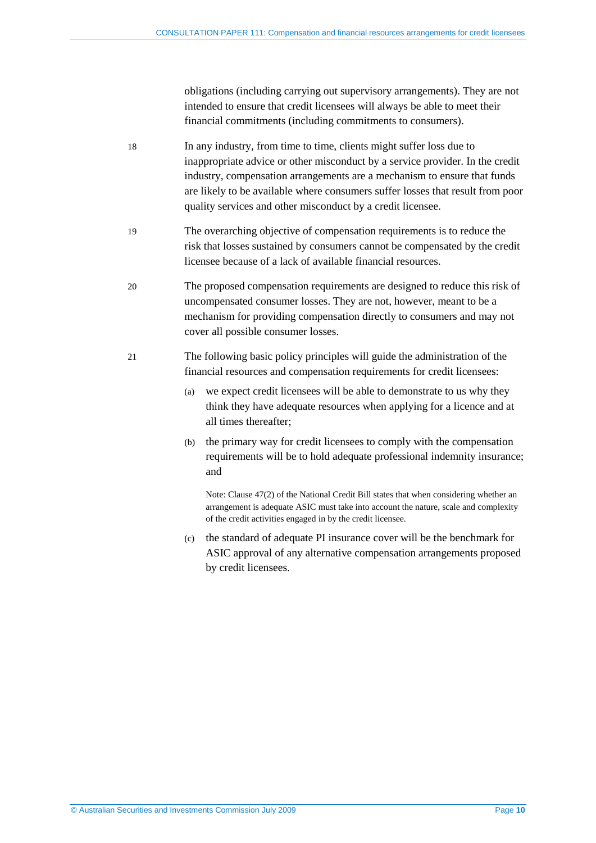obligations (including carrying out supervisory arrangements). They are not intended to ensure that credit licensees will always be able to meet their financial commitments (including commitments to consumers).

- 18 In any industry, from time to time, clients might suffer loss due to inappropriate advice or other misconduct by a service provider. In the credit industry, compensation arrangements are a mechanism to ensure that funds are likely to be available where consumers suffer losses that result from poor quality services and other misconduct by a credit licensee.
- 19 The overarching objective of compensation requirements is to reduce the risk that losses sustained by consumers cannot be compensated by the credit licensee because of a lack of available financial resources.
- 20 The proposed compensation requirements are designed to reduce this risk of uncompensated consumer losses. They are not, however, meant to be a mechanism for providing compensation directly to consumers and may not cover all possible consumer losses.
- 21 The following basic policy principles will guide the administration of the financial resources and compensation requirements for credit licensees:
	- (a) we expect credit licensees will be able to demonstrate to us why they think they have adequate resources when applying for a licence and at all times thereafter;
	- (b) the primary way for credit licensees to comply with the compensation requirements will be to hold adequate professional indemnity insurance; and

Note: Clause 47(2) of the National Credit Bill states that when considering whether an arrangement is adequate ASIC must take into account the nature, scale and complexity of the credit activities engaged in by the credit licensee.

(c) the standard of adequate PI insurance cover will be the benchmark for ASIC approval of any alternative compensation arrangements proposed by credit licensees.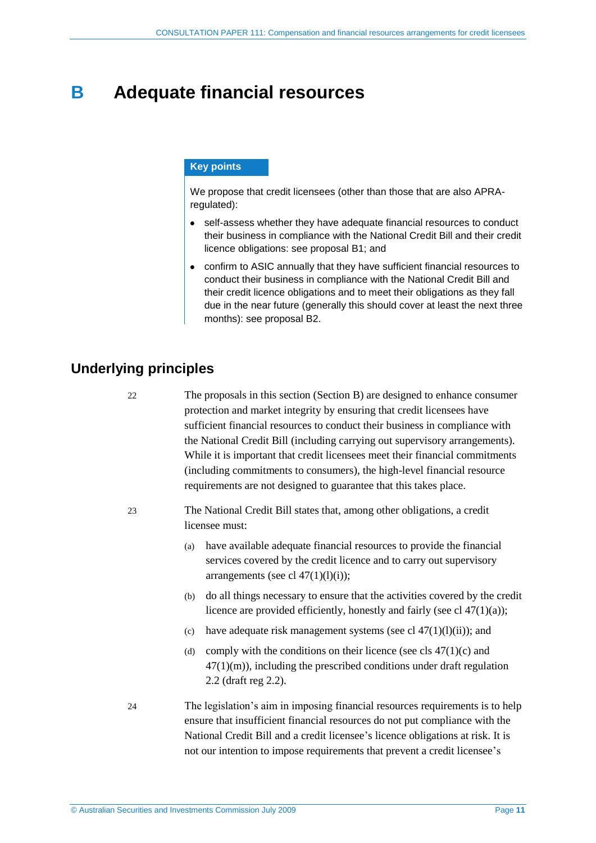## <span id="page-10-0"></span>**B Adequate financial resources**

#### **Key points**

We propose that credit licensees (other than those that are also APRAregulated):

- self-assess whether they have adequate financial resources to conduct  $\bullet$ their business in compliance with the National Credit Bill and their credit licence obligations: see proposal [B1;](#page-12-0) and
- confirm to ASIC annually that they have sufficient financial resources to conduct their business in compliance with the National Credit Bill and their credit licence obligations and to meet their obligations as they fall due in the near future (generally this should cover at least the next three months): see proposal [B2.](#page-12-1)

## <span id="page-10-2"></span><span id="page-10-1"></span>**Underlying principles**

22 The proposals in this section (Section B) are designed to enhance consumer protection and market integrity by ensuring that credit licensees have sufficient financial resources to conduct their business in compliance with the National Credit Bill (including carrying out supervisory arrangements). While it is important that credit licensees meet their financial commitments (including commitments to consumers), the high-level financial resource requirements are not designed to guarantee that this takes place.

- 23 The National Credit Bill states that, among other obligations, a credit licensee must:
	- (a) have available adequate financial resources to provide the financial services covered by the credit licence and to carry out supervisory arrangements (see cl  $47(1)(1)(i)$ );
	- (b) do all things necessary to ensure that the activities covered by the credit licence are provided efficiently, honestly and fairly (see cl  $47(1)(a)$ );
	- (c) have adequate risk management systems (see cl  $47(1)(l)(ii)$ ); and
	- (d) comply with the conditions on their licence (see cls  $47(1)(c)$  and  $47(1)(m)$ , including the prescribed conditions under draft regulation 2.2 (draft reg 2.2).
- 24 The legislation's aim in imposing financial resources requirements is to help ensure that insufficient financial resources do not put compliance with the National Credit Bill and a credit licensee's licence obligations at risk. It is not our intention to impose requirements that prevent a credit licensee's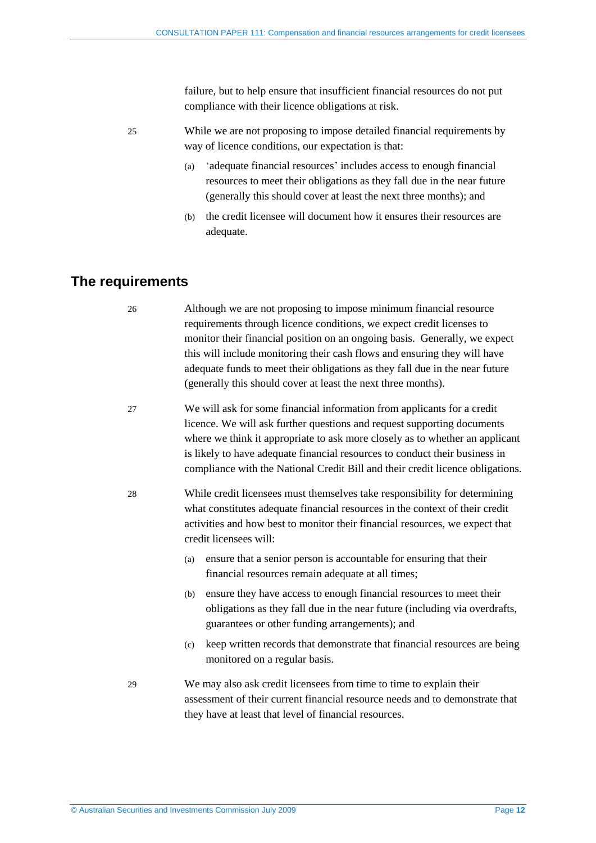failure, but to help ensure that insufficient financial resources do not put compliance with their licence obligations at risk.

- 25 While we are not proposing to impose detailed financial requirements by way of licence conditions, our expectation is that:
	- (a) 'adequate financial resources' includes access to enough financial resources to meet their obligations as they fall due in the near future (generally this should cover at least the next three months); and
	- (b) the credit licensee will document how it ensures their resources are adequate.

## <span id="page-11-0"></span>**The requirements**

- 26 Although we are not proposing to impose minimum financial resource requirements through licence conditions, we expect credit licenses to monitor their financial position on an ongoing basis. Generally, we expect this will include monitoring their cash flows and ensuring they will have adequate funds to meet their obligations as they fall due in the near future (generally this should cover at least the next three months).
- 27 We will ask for some financial information from applicants for a credit licence. We will ask further questions and request supporting documents where we think it appropriate to ask more closely as to whether an applicant is likely to have adequate financial resources to conduct their business in compliance with the National Credit Bill and their credit licence obligations.
- 28 While credit licensees must themselves take responsibility for determining what constitutes adequate financial resources in the context of their credit activities and how best to monitor their financial resources, we expect that credit licensees will:
	- (a) ensure that a senior person is accountable for ensuring that their financial resources remain adequate at all times;
	- (b) ensure they have access to enough financial resources to meet their obligations as they fall due in the near future (including via overdrafts, guarantees or other funding arrangements); and
	- (c) keep written records that demonstrate that financial resources are being monitored on a regular basis.
- 29 We may also ask credit licensees from time to time to explain their assessment of their current financial resource needs and to demonstrate that they have at least that level of financial resources.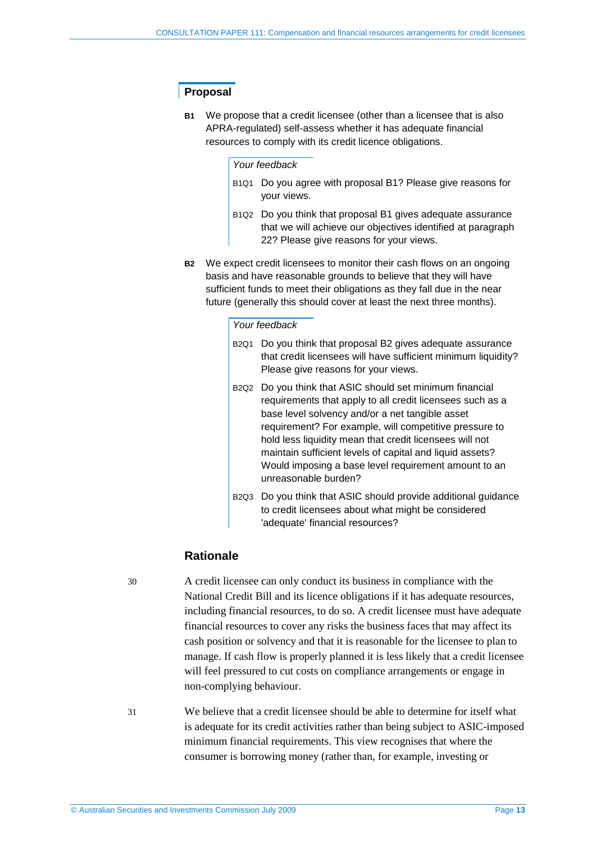### **Proposal**

<span id="page-12-0"></span>**B1** We propose that a credit licensee (other than a licensee that is also APRA-regulated) self-assess whether it has adequate financial resources to comply with its credit licence obligations.

#### *Your feedback*

- B1Q1 Do you agree with proposal [B1?](#page-12-0) Please give reasons for your views.
- B1Q2 Do you think that proposal [B1](#page-12-0) gives adequate assurance that we will achieve our objectives identified at paragraph [22?](#page-10-2) Please give reasons for your views.
- <span id="page-12-1"></span>**B2** We expect credit licensees to monitor their cash flows on an ongoing basis and have reasonable grounds to believe that they will have sufficient funds to meet their obligations as they fall due in the near future (generally this should cover at least the next three months).

#### *Your feedback*

- B2Q1 Do you think that proposal [B2](#page-12-1) gives adequate assurance that credit licensees will have sufficient minimum liquidity? Please give reasons for your views.
- B2Q2 Do you think that ASIC should set minimum financial requirements that apply to all credit licensees such as a base level solvency and/or a net tangible asset requirement? For example, will competitive pressure to hold less liquidity mean that credit licensees will not maintain sufficient levels of capital and liquid assets? Would imposing a base level requirement amount to an unreasonable burden?
- B2Q3 Do you think that ASIC should provide additional guidance to credit licensees about what might be considered 'adequate' financial resources?

#### **Rationale**

30 A credit licensee can only conduct its business in compliance with the National Credit Bill and its licence obligations if it has adequate resources, including financial resources, to do so. A credit licensee must have adequate financial resources to cover any risks the business faces that may affect its cash position or solvency and that it is reasonable for the licensee to plan to manage. If cash flow is properly planned it is less likely that a credit licensee will feel pressured to cut costs on compliance arrangements or engage in non-complying behaviour.

31 We believe that a credit licensee should be able to determine for itself what is adequate for its credit activities rather than being subject to ASIC-imposed minimum financial requirements. This view recognises that where the consumer is borrowing money (rather than, for example, investing or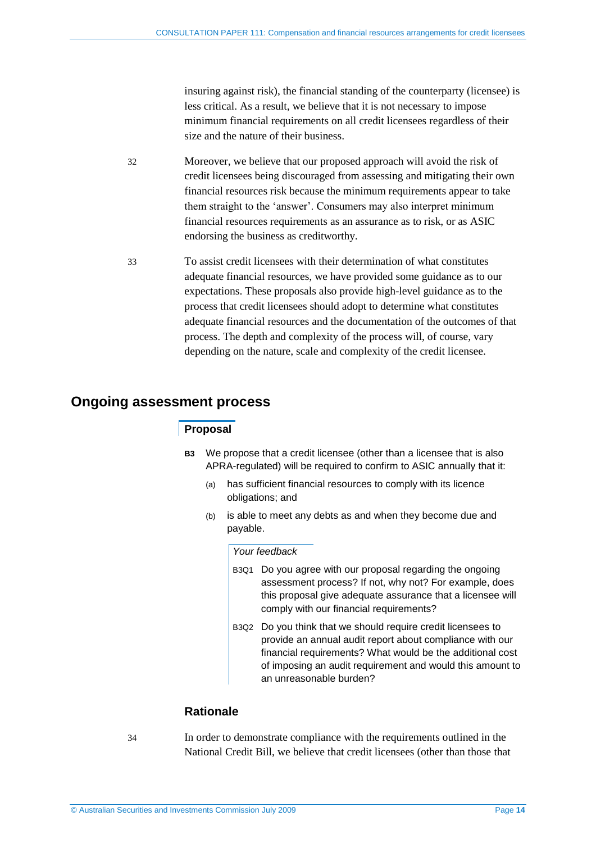insuring against risk), the financial standing of the counterparty (licensee) is less critical. As a result, we believe that it is not necessary to impose minimum financial requirements on all credit licensees regardless of their size and the nature of their business.

- 32 Moreover, we believe that our proposed approach will avoid the risk of credit licensees being discouraged from assessing and mitigating their own financial resources risk because the minimum requirements appear to take them straight to the 'answer'. Consumers may also interpret minimum financial resources requirements as an assurance as to risk, or as ASIC endorsing the business as creditworthy.
- 33 To assist credit licensees with their determination of what constitutes adequate financial resources, we have provided some guidance as to our expectations. These proposals also provide high-level guidance as to the process that credit licensees should adopt to determine what constitutes adequate financial resources and the documentation of the outcomes of that process. The depth and complexity of the process will, of course, vary depending on the nature, scale and complexity of the credit licensee.

## <span id="page-13-0"></span>**Ongoing assessment process**

## **Proposal**

- **B3** We propose that a credit licensee (other than a licensee that is also APRA-regulated) will be required to confirm to ASIC annually that it:
	- (a) has sufficient financial resources to comply with its licence obligations; and
	- (b) is able to meet any debts as and when they become due and payable.

#### *Your feedback*

- B3Q1 Do you agree with our proposal regarding the ongoing assessment process? If not, why not? For example, does this proposal give adequate assurance that a licensee will comply with our financial requirements?
- B3Q2 Do you think that we should require credit licensees to provide an annual audit report about compliance with our financial requirements? What would be the additional cost of imposing an audit requirement and would this amount to an unreasonable burden?

### **Rationale**

34 In order to demonstrate compliance with the requirements outlined in the National Credit Bill, we believe that credit licensees (other than those that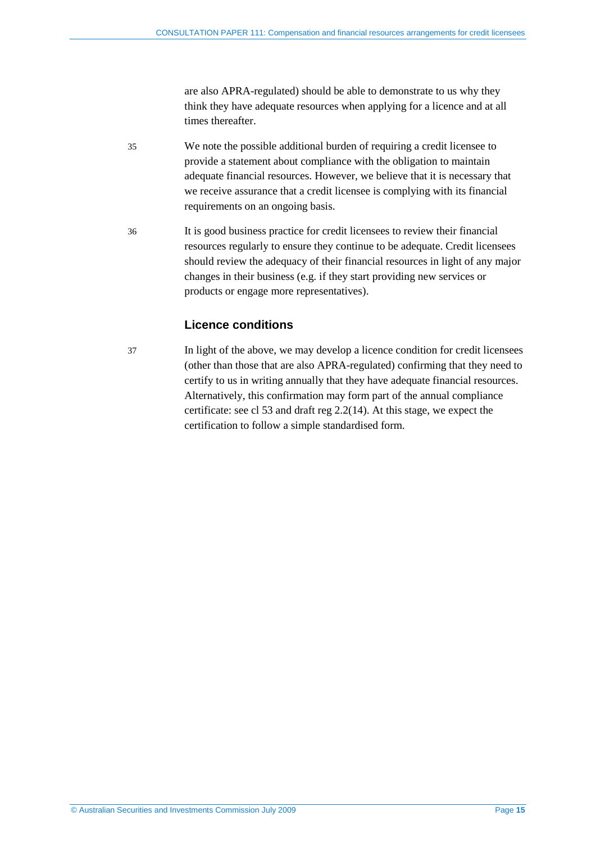are also APRA-regulated) should be able to demonstrate to us why they think they have adequate resources when applying for a licence and at all times thereafter.

- 35 We note the possible additional burden of requiring a credit licensee to provide a statement about compliance with the obligation to maintain adequate financial resources. However, we believe that it is necessary that we receive assurance that a credit licensee is complying with its financial requirements on an ongoing basis.
- 36 It is good business practice for credit licensees to review their financial resources regularly to ensure they continue to be adequate. Credit licensees should review the adequacy of their financial resources in light of any major changes in their business (e.g. if they start providing new services or products or engage more representatives).

## **Licence conditions**

37 In light of the above, we may develop a licence condition for credit licensees (other than those that are also APRA-regulated) confirming that they need to certify to us in writing annually that they have adequate financial resources. Alternatively, this confirmation may form part of the annual compliance certificate: see cl 53 and draft reg 2.2(14). At this stage, we expect the certification to follow a simple standardised form.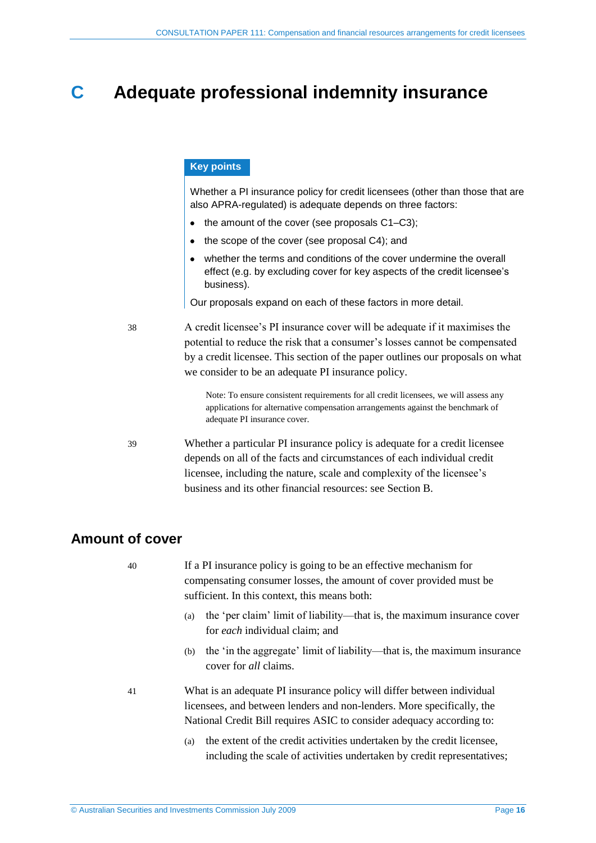## <span id="page-15-0"></span>**C Adequate professional indemnity insurance**

## **Key points**

Whether a PI insurance policy for credit licensees (other than those that are also APRA-regulated) is adequate depends on three factors:

- the amount of the cover (see proposals [C1](#page-16-0)[–C3\)](#page-18-2);
- $\bullet$  the scope of the cover (see proposal [C4\)](#page-20-1); and
- whether the terms and conditions of the cover undermine the overall effect (e.g. by excluding cover for key aspects of the credit licensee's business).

Our proposals expand on each of these factors in more detail.

38 A credit licensee's PI insurance cover will be adequate if it maximises the potential to reduce the risk that a consumer's losses cannot be compensated by a credit licensee. This section of the paper outlines our proposals on what we consider to be an adequate PI insurance policy.

> Note: To ensure consistent requirements for all credit licensees, we will assess any applications for alternative compensation arrangements against the benchmark of adequate PI insurance cover.

39 Whether a particular PI insurance policy is adequate for a credit licensee depends on all of the facts and circumstances of each individual credit licensee, including the nature, scale and complexity of the licensee's business and its other financial resources: see Sectio[n B.](#page-10-0)

## <span id="page-15-1"></span>**Amount of cover**

40 If a PI insurance policy is going to be an effective mechanism for compensating consumer losses, the amount of cover provided must be sufficient. In this context, this means both:

- (a) the 'per claim' limit of liability—that is, the maximum insurance cover for *each* individual claim; and
- (b) the 'in the aggregate' limit of liability—that is, the maximum insurance cover for *all* claims.
- 41 What is an adequate PI insurance policy will differ between individual licensees, and between lenders and non-lenders. More specifically, the National Credit Bill requires ASIC to consider adequacy according to:
	- (a) the extent of the credit activities undertaken by the credit licensee, including the scale of activities undertaken by credit representatives;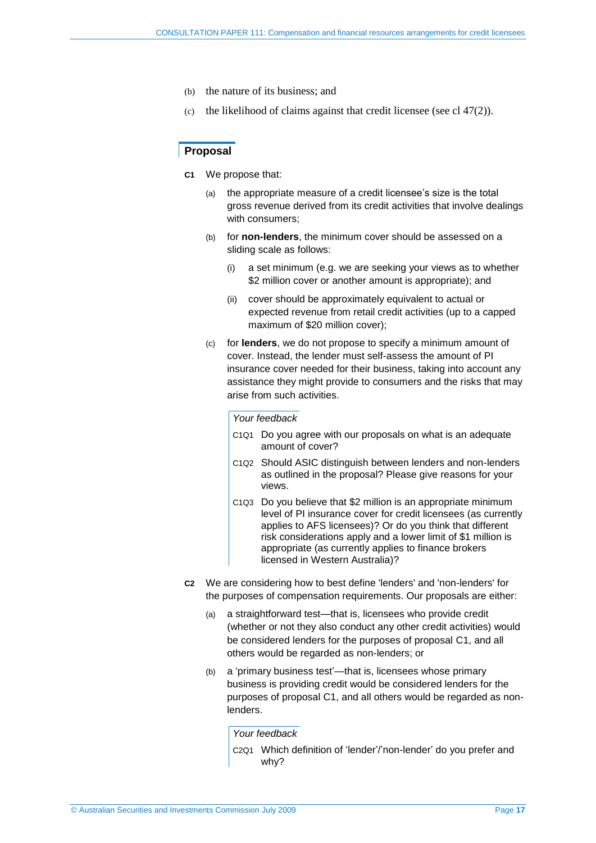- (b) the nature of its business; and
- (c) the likelihood of claims against that credit licensee (see cl  $47(2)$ ).

#### <span id="page-16-0"></span>**Proposal**

- **C1** We propose that:
	- (a) the appropriate measure of a credit licensee's size is the total gross revenue derived from its credit activities that involve dealings with consumers;
	- (b) for **non-lenders**, the minimum cover should be assessed on a sliding scale as follows:
		- (i) a set minimum (e.g. we are seeking your views as to whether \$2 million cover or another amount is appropriate); and
		- (ii) cover should be approximately equivalent to actual or expected revenue from retail credit activities (up to a capped maximum of \$20 million cover);
	- (c) for **lenders**, we do not propose to specify a minimum amount of cover. Instead, the lender must self-assess the amount of PI insurance cover needed for their business, taking into account any assistance they might provide to consumers and the risks that may arise from such activities.

#### *Your feedback*

- C1Q1 Do you agree with our proposals on what is an adequate amount of cover?
- C1Q2 Should ASIC distinguish between lenders and non-lenders as outlined in the proposal? Please give reasons for your views.
- C1Q3 Do you believe that \$2 million is an appropriate minimum level of PI insurance cover for credit licensees (as currently applies to AFS licensees)? Or do you think that different risk considerations apply and a lower limit of \$1 million is appropriate (as currently applies to finance brokers licensed in Western Australia)?
- **C2** We are considering how to best define 'lenders' and 'non-lenders' for the purposes of compensation requirements. Our proposals are either:
	- (a) a straightforward test—that is, licensees who provide credit (whether or not they also conduct any other credit activities) would be considered lenders for the purposes of proposal [C1,](#page-16-0) and all others would be regarded as non-lenders; or
	- (b) a 'primary business test'—that is, licensees whose primary business is providing credit would be considered lenders for the purposes of proposal [C1,](#page-16-0) and all others would be regarded as nonlenders.

*Your feedback*

C2Q1 Which definition of 'lender'/'non-lender' do you prefer and why?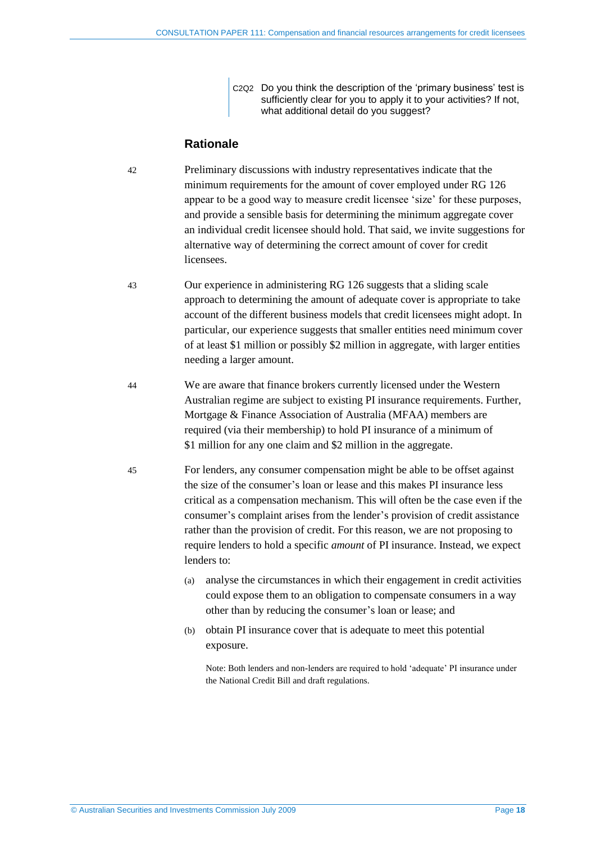C2Q2 Do you think the description of the 'primary business' test is sufficiently clear for you to apply it to your activities? If not, what additional detail do you suggest?

### **Rationale**

- 42 Preliminary discussions with industry representatives indicate that the minimum requirements for the amount of cover employed under RG 126 appear to be a good way to measure credit licensee 'size' for these purposes, and provide a sensible basis for determining the minimum aggregate cover an individual credit licensee should hold. That said, we invite suggestions for alternative way of determining the correct amount of cover for credit **licensees**
- 43 Our experience in administering RG 126 suggests that a sliding scale approach to determining the amount of adequate cover is appropriate to take account of the different business models that credit licensees might adopt. In particular, our experience suggests that smaller entities need minimum cover of at least \$1 million or possibly \$2 million in aggregate, with larger entities needing a larger amount.
- 44 We are aware that finance brokers currently licensed under the Western Australian regime are subject to existing PI insurance requirements. Further, Mortgage & Finance Association of Australia (MFAA) members are required (via their membership) to hold PI insurance of a minimum of \$1 million for any one claim and \$2 million in the aggregate.
- 45 For lenders, any consumer compensation might be able to be offset against the size of the consumer's loan or lease and this makes PI insurance less critical as a compensation mechanism. This will often be the case even if the consumer's complaint arises from the lender's provision of credit assistance rather than the provision of credit. For this reason, we are not proposing to require lenders to hold a specific *amount* of PI insurance. Instead, we expect lenders to:
	- (a) analyse the circumstances in which their engagement in credit activities could expose them to an obligation to compensate consumers in a way other than by reducing the consumer's loan or lease; and
	- (b) obtain PI insurance cover that is adequate to meet this potential exposure.

Note: Both lenders and non-lenders are required to hold 'adequate' PI insurance under the National Credit Bill and draft regulations.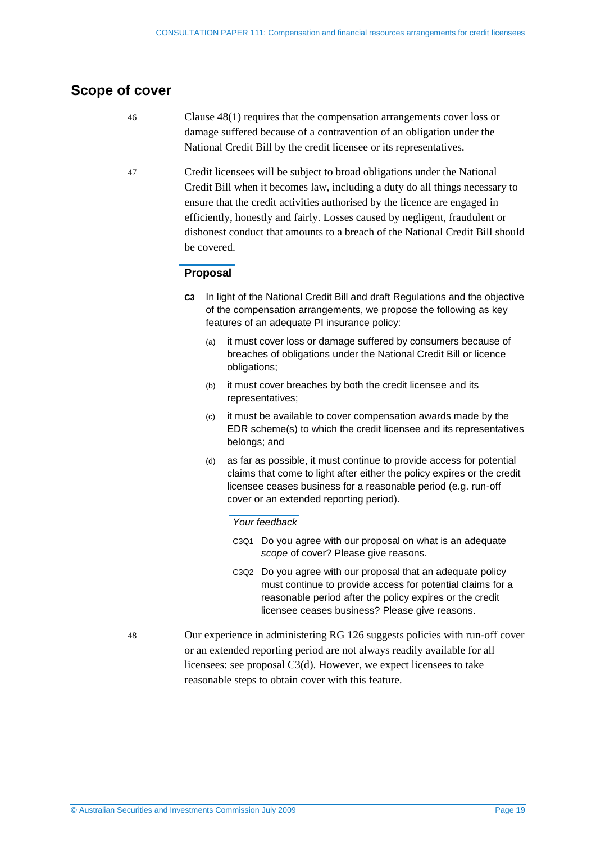## <span id="page-18-0"></span>**Scope of cover**

- 46 Clause 48(1) requires that the compensation arrangements cover loss or damage suffered because of a contravention of an obligation under the National Credit Bill by the credit licensee or its representatives.
- 47 Credit licensees will be subject to broad obligations under the National Credit Bill when it becomes law, including a duty do all things necessary to ensure that the credit activities authorised by the licence are engaged in efficiently, honestly and fairly. Losses caused by negligent, fraudulent or dishonest conduct that amounts to a breach of the National Credit Bill should be covered.

#### <span id="page-18-2"></span>**Proposal**

- **C3** In light of the National Credit Bill and draft Regulations and the objective of the compensation arrangements, we propose the following as key features of an adequate PI insurance policy:
	- (a) it must cover loss or damage suffered by consumers because of breaches of obligations under the National Credit Bill or licence obligations;
	- (b) it must cover breaches by both the credit licensee and its representatives;
	- (c) it must be available to cover compensation awards made by the EDR scheme(s) to which the credit licensee and its representatives belongs; and
	- (d) as far as possible, it must continue to provide access for potential claims that come to light after either the policy expires or the credit licensee ceases business for a reasonable period (e.g. run-off cover or an extended reporting period).

#### <span id="page-18-3"></span>*Your feedback*

- C3Q1 Do you agree with our proposal on what is an adequate *scope* of cover? Please give reasons.
- C3Q2 Do you agree with our proposal that an adequate policy must continue to provide access for potential claims for a reasonable period after the policy expires or the credit licensee ceases business? Please give reasons.
- <span id="page-18-1"></span>48 Our experience in administering RG 126 suggests policies with run-off cover or an extended reporting period are not always readily available for all licensees: see proposal [C3\(d\).](#page-18-3) However, we expect licensees to take reasonable steps to obtain cover with this feature.
-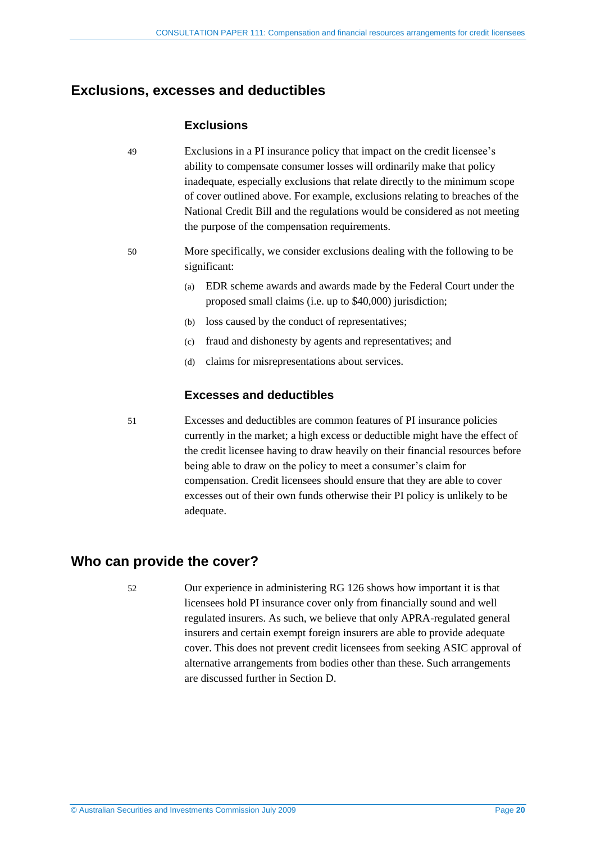## **Exclusions, excesses and deductibles**

### **Exclusions**

- 49 Exclusions in a PI insurance policy that impact on the credit licensee's ability to compensate consumer losses will ordinarily make that policy inadequate, especially exclusions that relate directly to the minimum scope of cover outlined above. For example, exclusions relating to breaches of the National Credit Bill and the regulations would be considered as not meeting the purpose of the compensation requirements.
- 50 More specifically, we consider exclusions dealing with the following to be significant:
	- (a) EDR scheme awards and awards made by the Federal Court under the proposed small claims (i.e. up to \$40,000) jurisdiction;
	- (b) loss caused by the conduct of representatives;
	- (c) fraud and dishonesty by agents and representatives; and
	- (d) claims for misrepresentations about services.

### **Excesses and deductibles**

51 Excesses and deductibles are common features of PI insurance policies currently in the market; a high excess or deductible might have the effect of the credit licensee having to draw heavily on their financial resources before being able to draw on the policy to meet a consumer's claim for compensation. Credit licensees should ensure that they are able to cover excesses out of their own funds otherwise their PI policy is unlikely to be adequate.

## <span id="page-19-0"></span>**Who can provide the cover?**

52 Our experience in administering RG 126 shows how important it is that licensees hold PI insurance cover only from financially sound and well regulated insurers. As such, we believe that only APRA-regulated general insurers and certain exempt foreign insurers are able to provide adequate cover. This does not prevent credit licensees from seeking ASIC approval of alternative arrangements from bodies other than these. Such arrangements are discussed further in Section [D.](#page-25-0)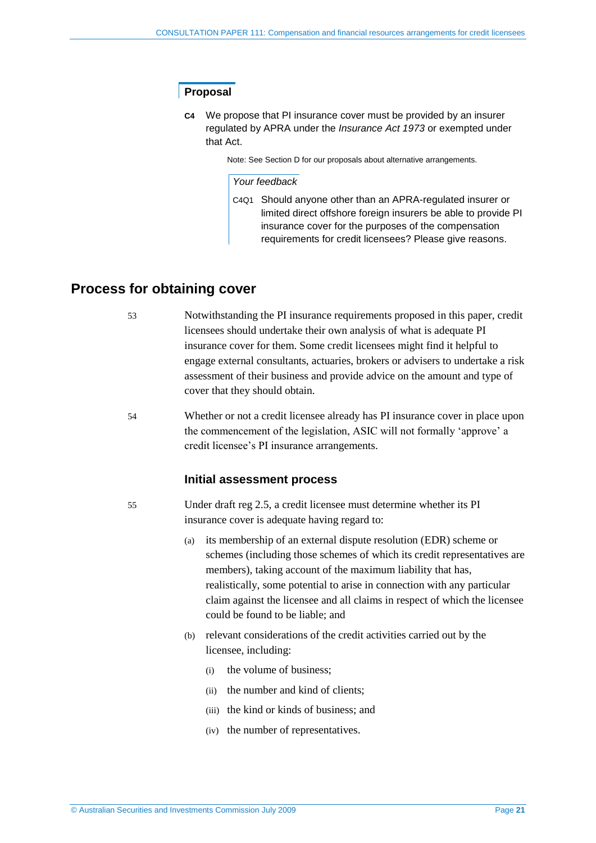## <span id="page-20-1"></span>**Proposal**

**C4** We propose that PI insurance cover must be provided by an insurer regulated by APRA under the *Insurance Act 1973* or exempted under that Act.

Note: See Sectio[n D](#page-25-0) for our proposals about alternative arrangements.

#### *Your feedback*

C4Q1 Should anyone other than an APRA-regulated insurer or limited direct offshore foreign insurers be able to provide PI insurance cover for the purposes of the compensation requirements for credit licensees? Please give reasons.

## <span id="page-20-0"></span>**Process for obtaining cover**

- 53 Notwithstanding the PI insurance requirements proposed in this paper, credit licensees should undertake their own analysis of what is adequate PI insurance cover for them. Some credit licensees might find it helpful to engage external consultants, actuaries, brokers or advisers to undertake a risk assessment of their business and provide advice on the amount and type of cover that they should obtain.
- 54 Whether or not a credit licensee already has PI insurance cover in place upon the commencement of the legislation, ASIC will not formally 'approve' a credit licensee's PI insurance arrangements.

#### **Initial assessment process**

- 55 Under draft reg 2.5, a credit licensee must determine whether its PI insurance cover is adequate having regard to:
	- (a) its membership of an external dispute resolution (EDR) scheme or schemes (including those schemes of which its credit representatives are members), taking account of the maximum liability that has, realistically, some potential to arise in connection with any particular claim against the licensee and all claims in respect of which the licensee could be found to be liable; and
	- (b) relevant considerations of the credit activities carried out by the licensee, including:
		- (i) the volume of business;
		- (ii) the number and kind of clients;
		- (iii) the kind or kinds of business; and
		- (iv) the number of representatives.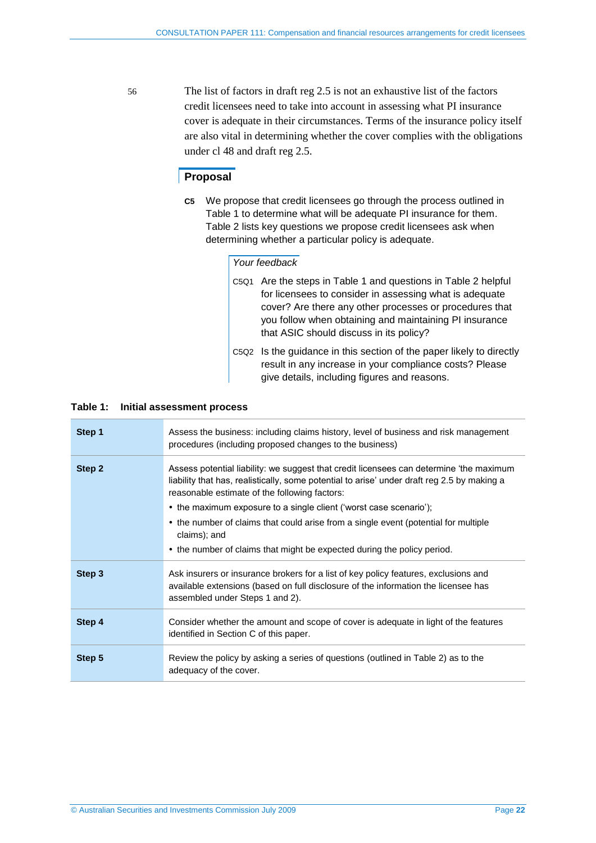56 The list of factors in draft reg 2.5 is not an exhaustive list of the factors credit licensees need to take into account in assessing what PI insurance cover is adequate in their circumstances. Terms of the insurance policy itself are also vital in determining whether the cover complies with the obligations under cl 48 and draft reg 2.5.

### **Proposal**

**C5** We propose that credit licensees go through the process outlined in [Table 1](#page-21-0) to determine what will be adequate PI insurance for them. [Table 2](#page-22-0) lists key questions we propose credit licensees ask when determining whether a particular policy is adequate.

#### *Your feedback*

- C5Q1 Are the steps in [Table 1](#page-21-0) and questions in [Table 2](#page-22-0) helpful for licensees to consider in assessing what is adequate cover? Are there any other processes or procedures that you follow when obtaining and maintaining PI insurance that ASIC should discuss in its policy?
- C5Q2 Is the guidance in this section of the paper likely to directly result in any increase in your compliance costs? Please give details, including figures and reasons.

#### <span id="page-21-0"></span>**Table 1: Initial assessment process**

| Step 1 | Assess the business: including claims history, level of business and risk management<br>procedures (including proposed changes to the business)                                                                                         |
|--------|-----------------------------------------------------------------------------------------------------------------------------------------------------------------------------------------------------------------------------------------|
| Step 2 | Assess potential liability: we suggest that credit licensees can determine 'the maximum<br>liability that has, realistically, some potential to arise' under draft reg 2.5 by making a<br>reasonable estimate of the following factors: |
|        | • the maximum exposure to a single client ('worst case scenario');                                                                                                                                                                      |
|        | • the number of claims that could arise from a single event (potential for multiple<br>claims); and                                                                                                                                     |
|        | • the number of claims that might be expected during the policy period.                                                                                                                                                                 |
| Step 3 | Ask insurers or insurance brokers for a list of key policy features, exclusions and<br>available extensions (based on full disclosure of the information the licensee has<br>assembled under Steps 1 and 2).                            |
| Step 4 | Consider whether the amount and scope of cover is adequate in light of the features<br>identified in Section C of this paper.                                                                                                           |
| Step 5 | Review the policy by asking a series of questions (outlined in Table 2) as to the<br>adequacy of the cover.                                                                                                                             |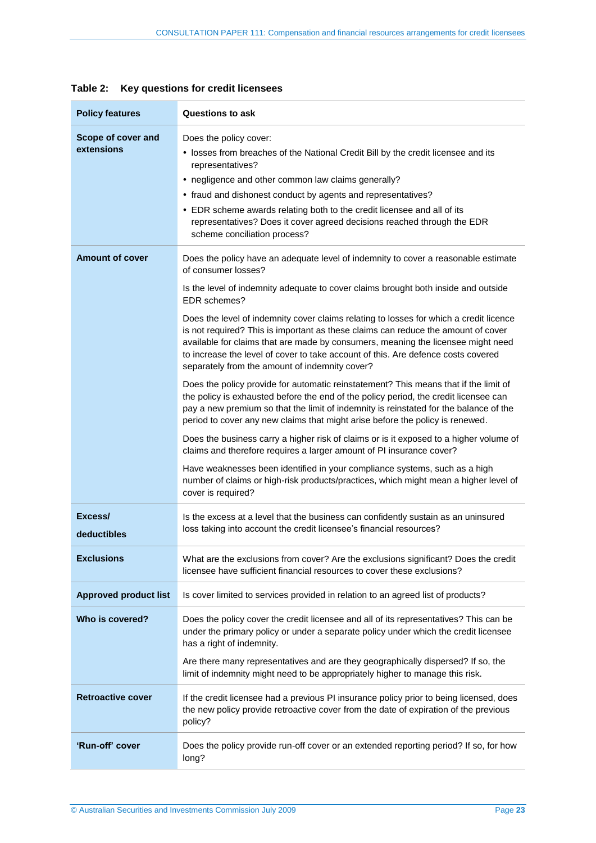<span id="page-22-0"></span>

| <b>Policy features</b>           | <b>Questions to ask</b>                                                                                                                                                                                                                                                                                                                                                                                                                                                                                                                                                                                                                                                                                              |
|----------------------------------|----------------------------------------------------------------------------------------------------------------------------------------------------------------------------------------------------------------------------------------------------------------------------------------------------------------------------------------------------------------------------------------------------------------------------------------------------------------------------------------------------------------------------------------------------------------------------------------------------------------------------------------------------------------------------------------------------------------------|
| Scope of cover and<br>extensions | Does the policy cover:<br>• losses from breaches of the National Credit Bill by the credit licensee and its<br>representatives?<br>• negligence and other common law claims generally?<br>• fraud and dishonest conduct by agents and representatives?<br>• EDR scheme awards relating both to the credit licensee and all of its<br>representatives? Does it cover agreed decisions reached through the EDR<br>scheme conciliation process?                                                                                                                                                                                                                                                                         |
| <b>Amount of cover</b>           | Does the policy have an adequate level of indemnity to cover a reasonable estimate<br>of consumer losses?<br>Is the level of indemnity adequate to cover claims brought both inside and outside<br>EDR schemes?<br>Does the level of indemnity cover claims relating to losses for which a credit licence<br>is not required? This is important as these claims can reduce the amount of cover<br>available for claims that are made by consumers, meaning the licensee might need<br>to increase the level of cover to take account of this. Are defence costs covered<br>separately from the amount of indemnity cover?                                                                                            |
|                                  | Does the policy provide for automatic reinstatement? This means that if the limit of<br>the policy is exhausted before the end of the policy period, the credit licensee can<br>pay a new premium so that the limit of indemnity is reinstated for the balance of the<br>period to cover any new claims that might arise before the policy is renewed.<br>Does the business carry a higher risk of claims or is it exposed to a higher volume of<br>claims and therefore requires a larger amount of PI insurance cover?<br>Have weaknesses been identified in your compliance systems, such as a high<br>number of claims or high-risk products/practices, which might mean a higher level of<br>cover is required? |
| Excess/<br>deductibles           | Is the excess at a level that the business can confidently sustain as an uninsured<br>loss taking into account the credit licensee's financial resources?                                                                                                                                                                                                                                                                                                                                                                                                                                                                                                                                                            |
| <b>Exclusions</b>                | What are the exclusions from cover? Are the exclusions significant? Does the credit<br>licensee have sufficient financial resources to cover these exclusions?                                                                                                                                                                                                                                                                                                                                                                                                                                                                                                                                                       |
| <b>Approved product list</b>     | Is cover limited to services provided in relation to an agreed list of products?                                                                                                                                                                                                                                                                                                                                                                                                                                                                                                                                                                                                                                     |
| Who is covered?                  | Does the policy cover the credit licensee and all of its representatives? This can be<br>under the primary policy or under a separate policy under which the credit licensee<br>has a right of indemnity.<br>Are there many representatives and are they geographically dispersed? If so, the<br>limit of indemnity might need to be appropriately higher to manage this risk.                                                                                                                                                                                                                                                                                                                                       |
| <b>Retroactive cover</b>         | If the credit licensee had a previous PI insurance policy prior to being licensed, does<br>the new policy provide retroactive cover from the date of expiration of the previous<br>policy?                                                                                                                                                                                                                                                                                                                                                                                                                                                                                                                           |
| 'Run-off' cover                  | Does the policy provide run-off cover or an extended reporting period? If so, for how<br>long?                                                                                                                                                                                                                                                                                                                                                                                                                                                                                                                                                                                                                       |

## **Table 2: Key questions for credit licensees**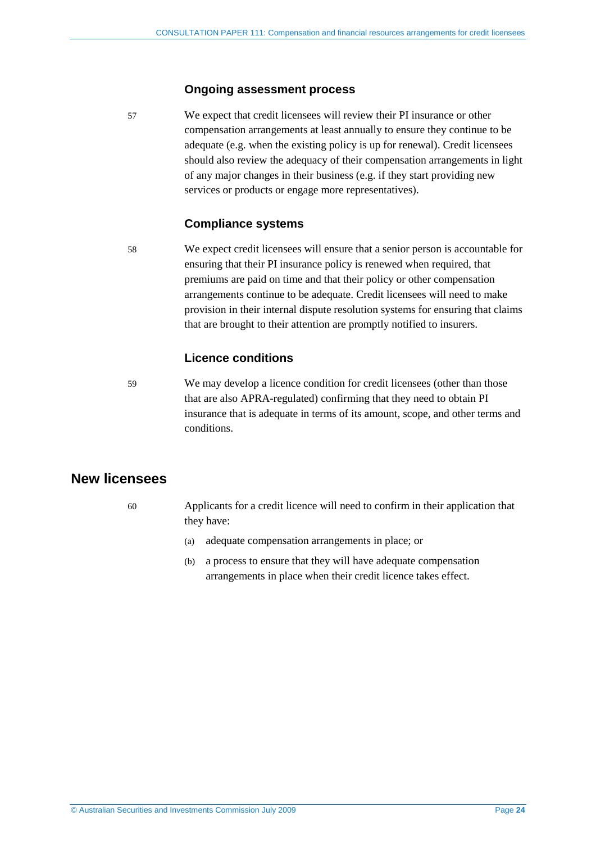#### **Ongoing assessment process**

57 We expect that credit licensees will review their PI insurance or other compensation arrangements at least annually to ensure they continue to be adequate (e.g. when the existing policy is up for renewal). Credit licensees should also review the adequacy of their compensation arrangements in light of any major changes in their business (e.g. if they start providing new services or products or engage more representatives).

### **Compliance systems**

58 We expect credit licensees will ensure that a senior person is accountable for ensuring that their PI insurance policy is renewed when required, that premiums are paid on time and that their policy or other compensation arrangements continue to be adequate. Credit licensees will need to make provision in their internal dispute resolution systems for ensuring that claims that are brought to their attention are promptly notified to insurers.

## **Licence conditions**

<span id="page-23-0"></span>59 We may develop a licence condition for credit licensees (other than those that are also APRA-regulated) confirming that they need to obtain PI insurance that is adequate in terms of its amount, scope, and other terms and conditions.

## **New licensees**

- 60 Applicants for a credit licence will need to confirm in their application that they have:
	- (a) adequate compensation arrangements in place; or
	- (b) a process to ensure that they will have adequate compensation arrangements in place when their credit licence takes effect.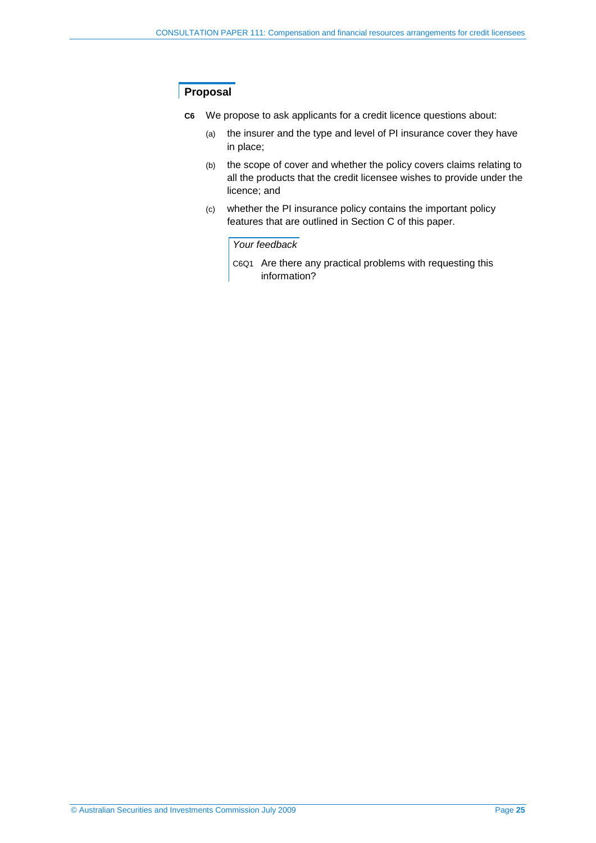## **Proposal**

- **C6** We propose to ask applicants for a credit licence questions about:
	- (a) the insurer and the type and level of PI insurance cover they have in place;
	- (b) the scope of cover and whether the policy covers claims relating to all the products that the credit licensee wishes to provide under the licence; and
	- (c) whether the PI insurance policy contains the important policy features that are outlined in Section [C](#page-15-0) of this paper.

#### *Your feedback*

C6Q1 Are there any practical problems with requesting this information?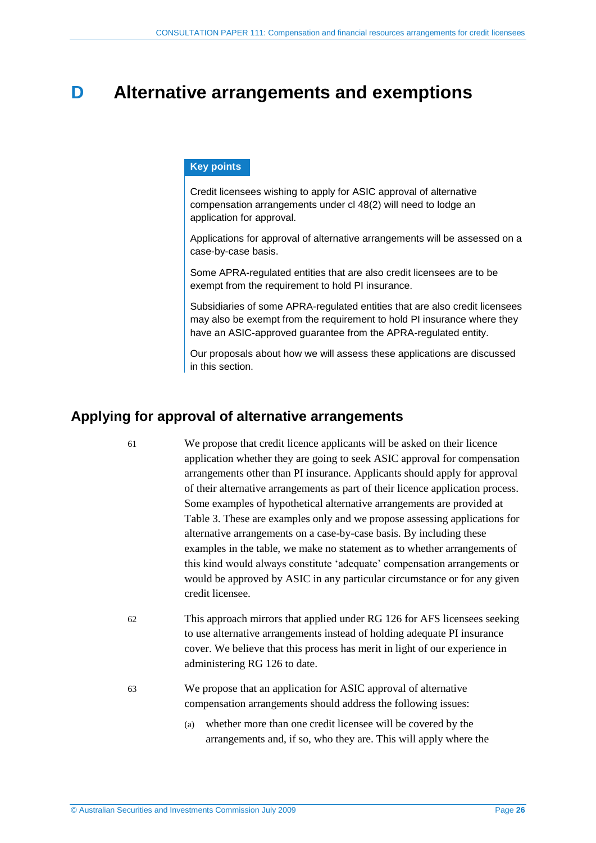## <span id="page-25-0"></span>**D Alternative arrangements and exemptions**

#### **Key points**

Credit licensees wishing to apply for ASIC approval of alternative compensation arrangements under cl 48(2) will need to lodge an application for approval.

Applications for approval of alternative arrangements will be assessed on a case-by-case basis.

Some APRA-regulated entities that are also credit licensees are to be exempt from the requirement to hold PI insurance.

Subsidiaries of some APRA-regulated entities that are also credit licensees may also be exempt from the requirement to hold PI insurance where they have an ASIC-approved guarantee from the APRA-regulated entity.

Our proposals about how we will assess these applications are discussed in this section.

## <span id="page-25-1"></span>**Applying for approval of alternative arrangements**

- 61 We propose that credit licence applicants will be asked on their licence application whether they are going to seek ASIC approval for compensation arrangements other than PI insurance. Applicants should apply for approval of their alternative arrangements as part of their licence application process. Some examples of hypothetical alternative arrangements are provided at [Table 3.](#page-26-0) These are examples only and we propose assessing applications for alternative arrangements on a case-by-case basis. By including these examples in the table, we make no statement as to whether arrangements of this kind would always constitute 'adequate' compensation arrangements or would be approved by ASIC in any particular circumstance or for any given credit licensee.
- 62 This approach mirrors that applied under RG 126 for AFS licensees seeking to use alternative arrangements instead of holding adequate PI insurance cover. We believe that this process has merit in light of our experience in administering RG 126 to date.
- 63 We propose that an application for ASIC approval of alternative compensation arrangements should address the following issues:
	- (a) whether more than one credit licensee will be covered by the arrangements and, if so, who they are. This will apply where the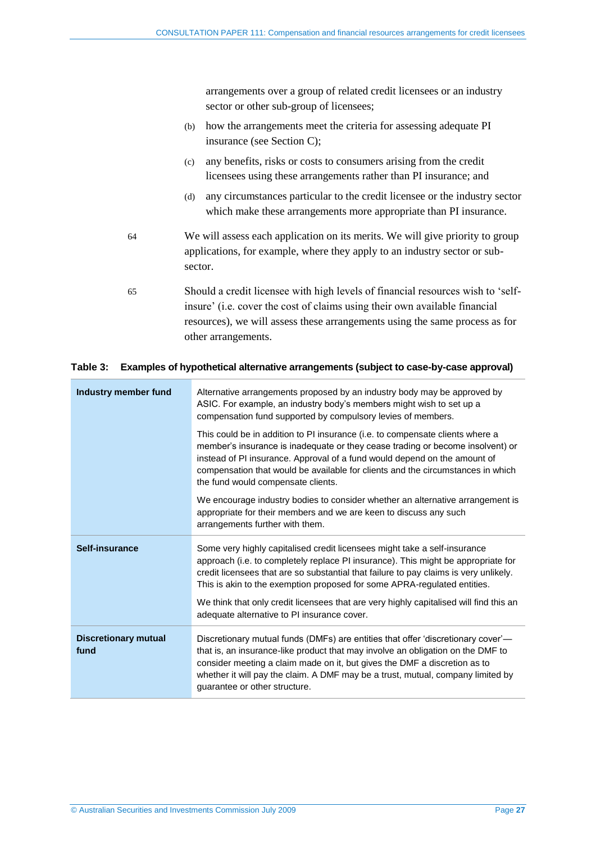arrangements over a group of related credit licensees or an industry sector or other sub-group of licensees;

- (b) how the arrangements meet the criteria for assessing adequate PI insurance (see Sectio[n C\)](#page-15-0);
- (c) any benefits, risks or costs to consumers arising from the credit licensees using these arrangements rather than PI insurance; and
- (d) any circumstances particular to the credit licensee or the industry sector which make these arrangements more appropriate than PI insurance.
- 64 We will assess each application on its merits. We will give priority to group applications, for example, where they apply to an industry sector or subsector.
- 65 Should a credit licensee with high levels of financial resources wish to 'selfinsure' (i.e. cover the cost of claims using their own available financial resources), we will assess these arrangements using the same process as for other arrangements.

#### <span id="page-26-0"></span>**Table 3: Examples of hypothetical alternative arrangements (subject to case-by-case approval)**

| Industry member fund                | Alternative arrangements proposed by an industry body may be approved by<br>ASIC. For example, an industry body's members might wish to set up a<br>compensation fund supported by compulsory levies of members.                                                                                                                                                                                                                                                             |
|-------------------------------------|------------------------------------------------------------------------------------------------------------------------------------------------------------------------------------------------------------------------------------------------------------------------------------------------------------------------------------------------------------------------------------------------------------------------------------------------------------------------------|
|                                     | This could be in addition to PI insurance (i.e. to compensate clients where a<br>member's insurance is inadequate or they cease trading or become insolvent) or<br>instead of PI insurance. Approval of a fund would depend on the amount of<br>compensation that would be available for clients and the circumstances in which<br>the fund would compensate clients.                                                                                                        |
|                                     | We encourage industry bodies to consider whether an alternative arrangement is<br>appropriate for their members and we are keen to discuss any such<br>arrangements further with them.                                                                                                                                                                                                                                                                                       |
| Self-insurance                      | Some very highly capitalised credit licensees might take a self-insurance<br>approach (i.e. to completely replace PI insurance). This might be appropriate for<br>credit licensees that are so substantial that failure to pay claims is very unlikely.<br>This is akin to the exemption proposed for some APRA-regulated entities.<br>We think that only credit licensees that are very highly capitalised will find this an<br>adequate alternative to PI insurance cover. |
| <b>Discretionary mutual</b><br>fund | Discretionary mutual funds (DMFs) are entities that offer 'discretionary cover'—<br>that is, an insurance-like product that may involve an obligation on the DMF to<br>consider meeting a claim made on it, but gives the DMF a discretion as to<br>whether it will pay the claim. A DMF may be a trust, mutual, company limited by<br>guarantee or other structure.                                                                                                         |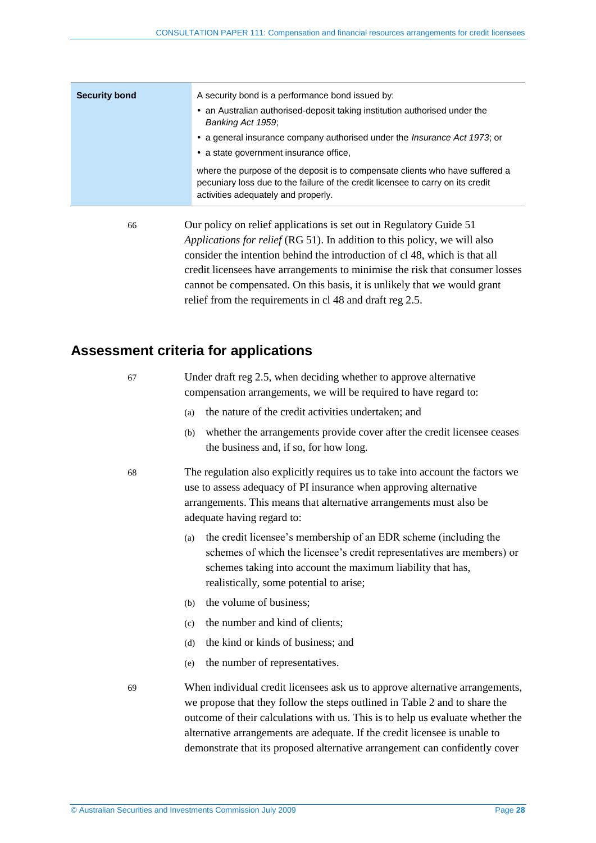| <b>Security bond</b> | A security bond is a performance bond issued by:<br>• an Australian authorised-deposit taking institution authorised under the                                                                          |
|----------------------|---------------------------------------------------------------------------------------------------------------------------------------------------------------------------------------------------------|
|                      | Banking Act 1959;<br>• a general insurance company authorised under the <i>Insurance Act 1973</i> ; or<br>• a state government insurance office,                                                        |
|                      | where the purpose of the deposit is to compensate clients who have suffered a<br>pecuniary loss due to the failure of the credit licensee to carry on its credit<br>activities adequately and properly. |
|                      |                                                                                                                                                                                                         |

66 Our policy on relief applications is set out in Regulatory Guide 51 *Applications for relief* (RG 51). In addition to this policy, we will also consider the intention behind the introduction of cl 48, which is that all credit licensees have arrangements to minimise the risk that consumer losses cannot be compensated. On this basis, it is unlikely that we would grant relief from the requirements in cl 48 and draft reg 2.5.

## <span id="page-27-0"></span>**Assessment criteria for applications**

| 67 |     | Under draft reg 2.5, when deciding whether to approve alternative<br>compensation arrangements, we will be required to have regard to:                                                                                                                   |
|----|-----|----------------------------------------------------------------------------------------------------------------------------------------------------------------------------------------------------------------------------------------------------------|
|    | (a) | the nature of the credit activities undertaken; and                                                                                                                                                                                                      |
|    | (b) | whether the arrangements provide cover after the credit licensee ceases<br>the business and, if so, for how long.                                                                                                                                        |
| 68 |     | The regulation also explicitly requires us to take into account the factors we<br>use to assess adequacy of PI insurance when approving alternative<br>arrangements. This means that alternative arrangements must also be<br>adequate having regard to: |
|    | (a) | the credit licensee's membership of an EDR scheme (including the<br>schemes of which the licensee's credit representatives are members) or<br>schemes taking into account the maximum liability that has,<br>realistically, some potential to arise;     |
|    | (b) | the volume of business;                                                                                                                                                                                                                                  |
|    | (c) | the number and kind of clients;                                                                                                                                                                                                                          |
|    | (d) | the kind or kinds of business; and                                                                                                                                                                                                                       |
|    | (e) | the number of representatives.                                                                                                                                                                                                                           |
| 69 |     | When individual credit licensees ask us to approve alternative arrangements,<br>we propose that they follow the steps outlined in Table 2 and to share the                                                                                               |

we propose that they follow the steps outlined in [Table 2](#page-22-0) and to share the outcome of their calculations with us. This is to help us evaluate whether the alternative arrangements are adequate. If the credit licensee is unable to demonstrate that its proposed alternative arrangement can confidently cover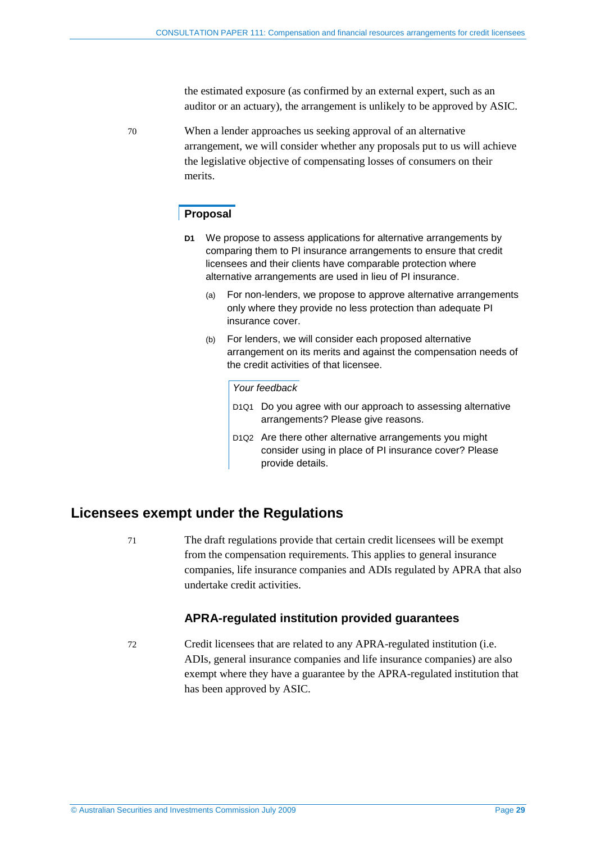the estimated exposure (as confirmed by an external expert, such as an auditor or an actuary), the arrangement is unlikely to be approved by ASIC.

<span id="page-28-0"></span>70 When a lender approaches us seeking approval of an alternative arrangement, we will consider whether any proposals put to us will achieve the legislative objective of compensating losses of consumers on their merits.

### **Proposal**

- **D1** We propose to assess applications for alternative arrangements by comparing them to PI insurance arrangements to ensure that credit licensees and their clients have comparable protection where alternative arrangements are used in lieu of PI insurance.
	- (a) For non-lenders, we propose to approve alternative arrangements only where they provide no less protection than adequate PI insurance cover.
	- (b) For lenders, we will consider each proposed alternative arrangement on its merits and against the compensation needs of the credit activities of that licensee.

#### *Your feedback*

- D1Q1 Do you agree with our approach to assessing alternative arrangements? Please give reasons.
- D1Q2 Are there other alternative arrangements you might consider using in place of PI insurance cover? Please provide details.

## **Licensees exempt under the Regulations**

71 The draft regulations provide that certain credit licensees will be exempt from the compensation requirements. This applies to general insurance companies, life insurance companies and ADIs regulated by APRA that also undertake credit activities.

## **APRA-regulated institution provided guarantees**

<span id="page-28-1"></span>72 Credit licensees that are related to any APRA-regulated institution (i.e. ADIs, general insurance companies and life insurance companies) are also exempt where they have a guarantee by the APRA-regulated institution that has been approved by ASIC.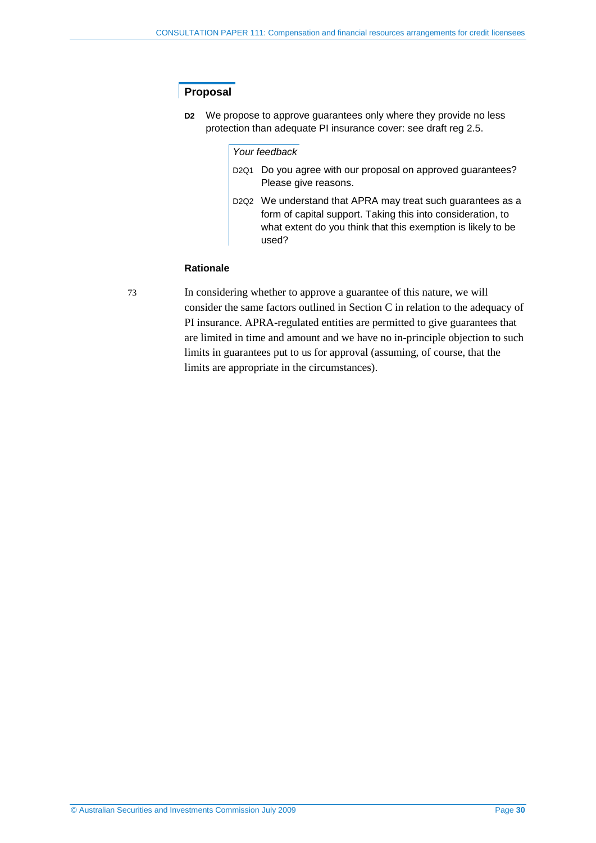## **Proposal**

**D2** We propose to approve guarantees only where they provide no less protection than adequate PI insurance cover: see draft reg 2.5.

#### *Your feedback*

- D2Q1 Do you agree with our proposal on approved guarantees? Please give reasons.
- D2Q2 We understand that APRA may treat such guarantees as a form of capital support. Taking this into consideration, to what extent do you think that this exemption is likely to be used?

#### **Rationale**

73 In considering whether to approve a guarantee of this nature, we will consider the same factors outlined in Section [C](#page-15-0) in relation to the adequacy of PI insurance. APRA-regulated entities are permitted to give guarantees that are limited in time and amount and we have no in-principle objection to such limits in guarantees put to us for approval (assuming, of course, that the limits are appropriate in the circumstances).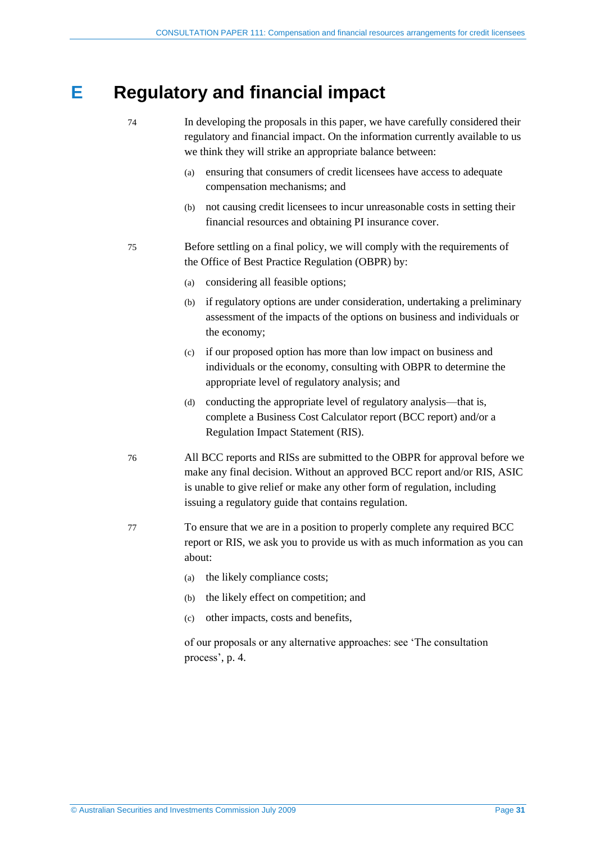## <span id="page-30-0"></span>**E Regulatory and financial impact**

- 74 In developing the proposals in this paper, we have carefully considered their regulatory and financial impact. On the information currently available to us we think they will strike an appropriate balance between:
	- (a) ensuring that consumers of credit licensees have access to adequate compensation mechanisms; and
	- (b) not causing credit licensees to incur unreasonable costs in setting their financial resources and obtaining PI insurance cover.
- 75 Before settling on a final policy, we will comply with the requirements of the Office of Best Practice Regulation (OBPR) by:
	- (a) considering all feasible options;
	- (b) if regulatory options are under consideration, undertaking a preliminary assessment of the impacts of the options on business and individuals or the economy;
	- (c) if our proposed option has more than low impact on business and individuals or the economy, consulting with OBPR to determine the appropriate level of regulatory analysis; and
	- (d) conducting the appropriate level of regulatory analysis—that is, complete a Business Cost Calculator report (BCC report) and/or a Regulation Impact Statement (RIS).
- 76 All BCC reports and RISs are submitted to the OBPR for approval before we make any final decision. Without an approved BCC report and/or RIS, ASIC is unable to give relief or make any other form of regulation, including issuing a regulatory guide that contains regulation.
- 77 To ensure that we are in a position to properly complete any required BCC report or RIS, we ask you to provide us with as much information as you can about:
	- (a) the likely compliance costs;
	- (b) the likely effect on competition; and
	- (c) other impacts, costs and benefits,

of our proposals or any alternative approaches: see 'The consultation process', p. 4.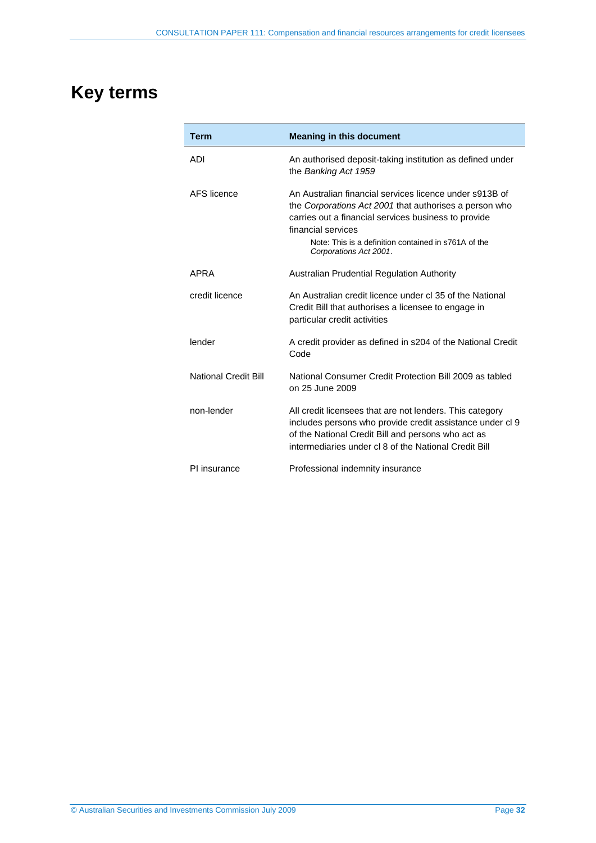## <span id="page-31-0"></span>**Key terms**

| <b>Term</b>                 | <b>Meaning in this document</b>                                                                                                                                                                                                                                                   |
|-----------------------------|-----------------------------------------------------------------------------------------------------------------------------------------------------------------------------------------------------------------------------------------------------------------------------------|
| ADI                         | An authorised deposit-taking institution as defined under<br>the Banking Act 1959                                                                                                                                                                                                 |
| AFS licence                 | An Australian financial services licence under s913B of<br>the Corporations Act 2001 that authorises a person who<br>carries out a financial services business to provide<br>financial services<br>Note: This is a definition contained in s761A of the<br>Corporations Act 2001. |
| <b>APRA</b>                 | Australian Prudential Regulation Authority                                                                                                                                                                                                                                        |
| credit licence              | An Australian credit licence under cl 35 of the National<br>Credit Bill that authorises a licensee to engage in<br>particular credit activities                                                                                                                                   |
| lender                      | A credit provider as defined in s204 of the National Credit<br>Code                                                                                                                                                                                                               |
| <b>National Credit Bill</b> | National Consumer Credit Protection Bill 2009 as tabled<br>on 25 June 2009                                                                                                                                                                                                        |
| non-lender                  | All credit licensees that are not lenders. This category<br>includes persons who provide credit assistance under cl 9<br>of the National Credit Bill and persons who act as<br>intermediaries under cl 8 of the National Credit Bill                                              |
| PI insurance                | Professional indemnity insurance                                                                                                                                                                                                                                                  |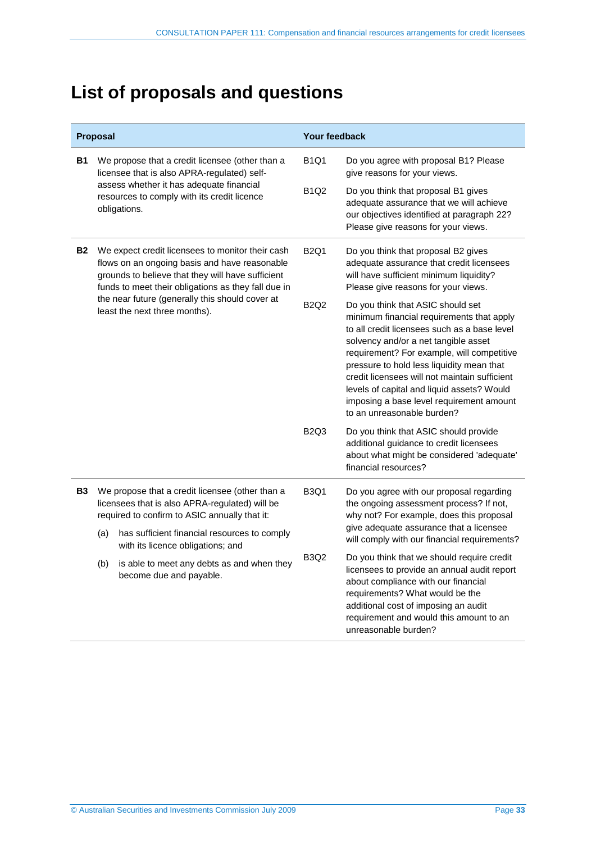## <span id="page-32-0"></span>**List of proposals and questions**

|           | Proposal                                                                                                                                           |                                                                                                                                                                                                               | <b>Your feedback</b>                                                                                                                                                                                                                                                                                                                                                                                                                                                                                                                                                                                                                          |                                                                                                                                                                                                                                                                                |  |
|-----------|----------------------------------------------------------------------------------------------------------------------------------------------------|---------------------------------------------------------------------------------------------------------------------------------------------------------------------------------------------------------------|-----------------------------------------------------------------------------------------------------------------------------------------------------------------------------------------------------------------------------------------------------------------------------------------------------------------------------------------------------------------------------------------------------------------------------------------------------------------------------------------------------------------------------------------------------------------------------------------------------------------------------------------------|--------------------------------------------------------------------------------------------------------------------------------------------------------------------------------------------------------------------------------------------------------------------------------|--|
| В1        |                                                                                                                                                    | We propose that a credit licensee (other than a<br>licensee that is also APRA-regulated) self-                                                                                                                | <b>B1Q1</b>                                                                                                                                                                                                                                                                                                                                                                                                                                                                                                                                                                                                                                   | Do you agree with proposal B1? Please<br>give reasons for your views.                                                                                                                                                                                                          |  |
|           |                                                                                                                                                    | assess whether it has adequate financial<br>resources to comply with its credit licence<br>obligations.                                                                                                       | <b>B1Q2</b>                                                                                                                                                                                                                                                                                                                                                                                                                                                                                                                                                                                                                                   | Do you think that proposal B1 gives<br>adequate assurance that we will achieve<br>our objectives identified at paragraph 22?<br>Please give reasons for your views.                                                                                                            |  |
| <b>B2</b> |                                                                                                                                                    | We expect credit licensees to monitor their cash<br>flows on an ongoing basis and have reasonable<br>grounds to believe that they will have sufficient<br>funds to meet their obligations as they fall due in | <b>B2Q1</b><br>Do you think that proposal B2 gives<br>adequate assurance that credit licensees<br>will have sufficient minimum liquidity?<br>Please give reasons for your views.<br><b>B2Q2</b><br>Do you think that ASIC should set<br>minimum financial requirements that apply<br>to all credit licensees such as a base level<br>solvency and/or a net tangible asset<br>requirement? For example, will competitive<br>pressure to hold less liquidity mean that<br>credit licensees will not maintain sufficient<br>levels of capital and liquid assets? Would<br>imposing a base level requirement amount<br>to an unreasonable burden? |                                                                                                                                                                                                                                                                                |  |
|           |                                                                                                                                                    | the near future (generally this should cover at<br>least the next three months).                                                                                                                              |                                                                                                                                                                                                                                                                                                                                                                                                                                                                                                                                                                                                                                               |                                                                                                                                                                                                                                                                                |  |
|           |                                                                                                                                                    |                                                                                                                                                                                                               | <b>B2Q3</b>                                                                                                                                                                                                                                                                                                                                                                                                                                                                                                                                                                                                                                   | Do you think that ASIC should provide<br>additional guidance to credit licensees<br>about what might be considered 'adequate'<br>financial resources?                                                                                                                          |  |
| <b>B3</b> | We propose that a credit licensee (other than a<br>licensees that is also APRA-regulated) will be<br>required to confirm to ASIC annually that it: |                                                                                                                                                                                                               | <b>B3Q1</b>                                                                                                                                                                                                                                                                                                                                                                                                                                                                                                                                                                                                                                   | Do you agree with our proposal regarding<br>the ongoing assessment process? If not,<br>why not? For example, does this proposal                                                                                                                                                |  |
|           | (a)                                                                                                                                                | has sufficient financial resources to comply<br>with its licence obligations; and                                                                                                                             |                                                                                                                                                                                                                                                                                                                                                                                                                                                                                                                                                                                                                                               | give adequate assurance that a licensee<br>will comply with our financial requirements?                                                                                                                                                                                        |  |
|           | (b)                                                                                                                                                | is able to meet any debts as and when they<br>become due and payable.                                                                                                                                         | <b>B3Q2</b>                                                                                                                                                                                                                                                                                                                                                                                                                                                                                                                                                                                                                                   | Do you think that we should require credit<br>licensees to provide an annual audit report<br>about compliance with our financial<br>requirements? What would be the<br>additional cost of imposing an audit<br>requirement and would this amount to an<br>unreasonable burden? |  |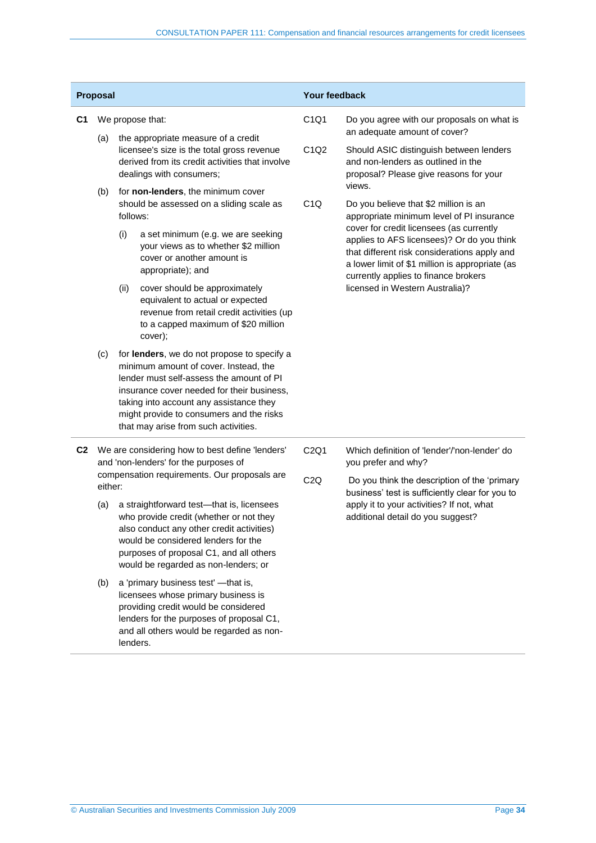| <b>Proposal</b> |                                                                                          |          |                                                                                                                                                                                                                                                                                                               | Your feedback                                                              |                                                                                                                                                                                                                                   |
|-----------------|------------------------------------------------------------------------------------------|----------|---------------------------------------------------------------------------------------------------------------------------------------------------------------------------------------------------------------------------------------------------------------------------------------------------------------|----------------------------------------------------------------------------|-----------------------------------------------------------------------------------------------------------------------------------------------------------------------------------------------------------------------------------|
| C <sub>1</sub>  | We propose that:                                                                         |          | C1Q1                                                                                                                                                                                                                                                                                                          | Do you agree with our proposals on what is<br>an adequate amount of cover? |                                                                                                                                                                                                                                   |
|                 | (a)                                                                                      |          | the appropriate measure of a credit<br>licensee's size is the total gross revenue<br>derived from its credit activities that involve<br>dealings with consumers;                                                                                                                                              | C <sub>1</sub> Q <sub>2</sub>                                              | Should ASIC distinguish between lenders<br>and non-lenders as outlined in the<br>proposal? Please give reasons for your                                                                                                           |
|                 | (b)                                                                                      | follows: | for non-lenders, the minimum cover<br>should be assessed on a sliding scale as                                                                                                                                                                                                                                | C <sub>1</sub> Q                                                           | views.<br>Do you believe that \$2 million is an<br>appropriate minimum level of PI insurance                                                                                                                                      |
|                 |                                                                                          | (i)      | a set minimum (e.g. we are seeking<br>your views as to whether \$2 million<br>cover or another amount is<br>appropriate); and                                                                                                                                                                                 |                                                                            | cover for credit licensees (as currently<br>applies to AFS licensees)? Or do you think<br>that different risk considerations apply and<br>a lower limit of \$1 million is appropriate (as<br>currently applies to finance brokers |
|                 |                                                                                          | (ii)     | cover should be approximately<br>equivalent to actual or expected<br>revenue from retail credit activities (up<br>to a capped maximum of \$20 million<br>cover);                                                                                                                                              |                                                                            | licensed in Western Australia)?                                                                                                                                                                                                   |
|                 | (c)                                                                                      |          | for lenders, we do not propose to specify a<br>minimum amount of cover. Instead, the<br>lender must self-assess the amount of PI<br>insurance cover needed for their business,<br>taking into account any assistance they<br>might provide to consumers and the risks<br>that may arise from such activities. |                                                                            |                                                                                                                                                                                                                                   |
| C <sub>2</sub>  | We are considering how to best define 'lenders'<br>and 'non-lenders' for the purposes of |          | C2Q1                                                                                                                                                                                                                                                                                                          | Which definition of 'lender'/'non-lender' do<br>you prefer and why?        |                                                                                                                                                                                                                                   |
|                 | either:                                                                                  |          | compensation requirements. Our proposals are                                                                                                                                                                                                                                                                  | C2Q                                                                        | Do you think the description of the 'primary<br>business' test is sufficiently clear for you to                                                                                                                                   |
|                 | (a)                                                                                      |          | a straightforward test-that is, licensees<br>who provide credit (whether or not they<br>also conduct any other credit activities)<br>would be considered lenders for the<br>purposes of proposal C1, and all others<br>would be regarded as non-lenders; or                                                   |                                                                            | apply it to your activities? If not, what<br>additional detail do you suggest?                                                                                                                                                    |
|                 | (b)                                                                                      |          | a 'primary business test' - that is,<br>licensees whose primary business is<br>providing credit would be considered<br>lenders for the purposes of proposal C1,<br>and all others would be regarded as non-<br>lenders.                                                                                       |                                                                            |                                                                                                                                                                                                                                   |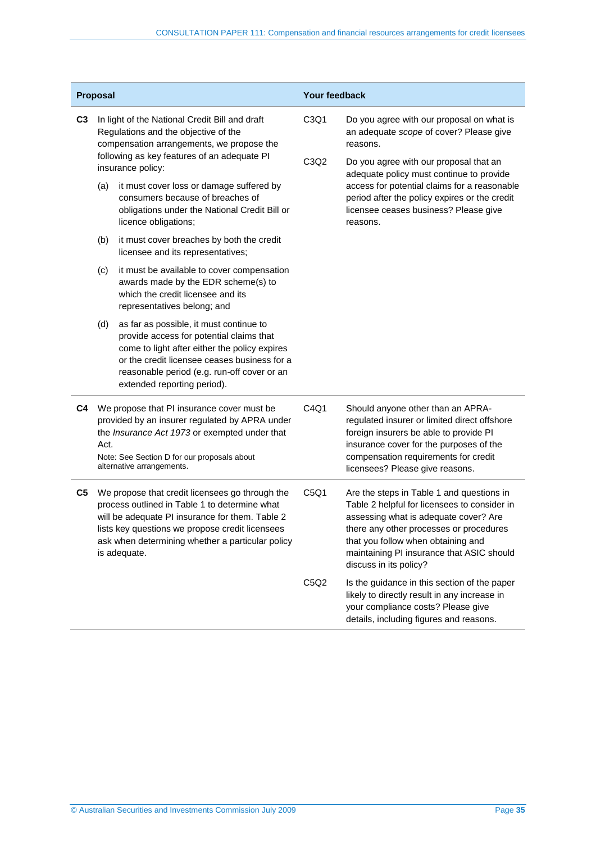|                | Proposal                                                                                                                                                                                                                                                                   |                                                                                                                                                                                                                                                                    | Your feedback                                                  |                                                                                                                                                                                                                                                                                            |
|----------------|----------------------------------------------------------------------------------------------------------------------------------------------------------------------------------------------------------------------------------------------------------------------------|--------------------------------------------------------------------------------------------------------------------------------------------------------------------------------------------------------------------------------------------------------------------|----------------------------------------------------------------|--------------------------------------------------------------------------------------------------------------------------------------------------------------------------------------------------------------------------------------------------------------------------------------------|
| C3             | In light of the National Credit Bill and draft<br>Regulations and the objective of the<br>compensation arrangements, we propose the<br>following as key features of an adequate PI<br>insurance policy:                                                                    |                                                                                                                                                                                                                                                                    | C <sub>3</sub> Q <sub>1</sub><br>C <sub>3</sub> Q <sub>2</sub> | Do you agree with our proposal on what is<br>an adequate scope of cover? Please give<br>reasons.<br>Do you agree with our proposal that an                                                                                                                                                 |
|                | (a)                                                                                                                                                                                                                                                                        | it must cover loss or damage suffered by<br>consumers because of breaches of<br>obligations under the National Credit Bill or<br>licence obligations;                                                                                                              |                                                                | adequate policy must continue to provide<br>access for potential claims for a reasonable<br>period after the policy expires or the credit<br>licensee ceases business? Please give<br>reasons.                                                                                             |
|                | (b)                                                                                                                                                                                                                                                                        | it must cover breaches by both the credit<br>licensee and its representatives;                                                                                                                                                                                     |                                                                |                                                                                                                                                                                                                                                                                            |
|                | (c)                                                                                                                                                                                                                                                                        | it must be available to cover compensation<br>awards made by the EDR scheme(s) to<br>which the credit licensee and its<br>representatives belong; and                                                                                                              |                                                                |                                                                                                                                                                                                                                                                                            |
|                | (d)                                                                                                                                                                                                                                                                        | as far as possible, it must continue to<br>provide access for potential claims that<br>come to light after either the policy expires<br>or the credit licensee ceases business for a<br>reasonable period (e.g. run-off cover or an<br>extended reporting period). |                                                                |                                                                                                                                                                                                                                                                                            |
| C4             | We propose that PI insurance cover must be<br>provided by an insurer regulated by APRA under<br>the Insurance Act 1973 or exempted under that<br>Act.<br>Note: See Section D for our proposals about<br>alternative arrangements.                                          |                                                                                                                                                                                                                                                                    | C4Q1                                                           | Should anyone other than an APRA-<br>regulated insurer or limited direct offshore<br>foreign insurers be able to provide PI<br>insurance cover for the purposes of the<br>compensation requirements for credit<br>licensees? Please give reasons.                                          |
| C <sub>5</sub> | We propose that credit licensees go through the<br>process outlined in Table 1 to determine what<br>will be adequate PI insurance for them. Table 2<br>lists key questions we propose credit licensees<br>ask when determining whether a particular policy<br>is adequate. |                                                                                                                                                                                                                                                                    | C5Q1                                                           | Are the steps in Table 1 and questions in<br>Table 2 helpful for licensees to consider in<br>assessing what is adequate cover? Are<br>there any other processes or procedures<br>that you follow when obtaining and<br>maintaining PI insurance that ASIC should<br>discuss in its policy? |
|                |                                                                                                                                                                                                                                                                            |                                                                                                                                                                                                                                                                    | C5Q2                                                           | Is the guidance in this section of the paper<br>likely to directly result in any increase in<br>your compliance costs? Please give<br>details, including figures and reasons.                                                                                                              |